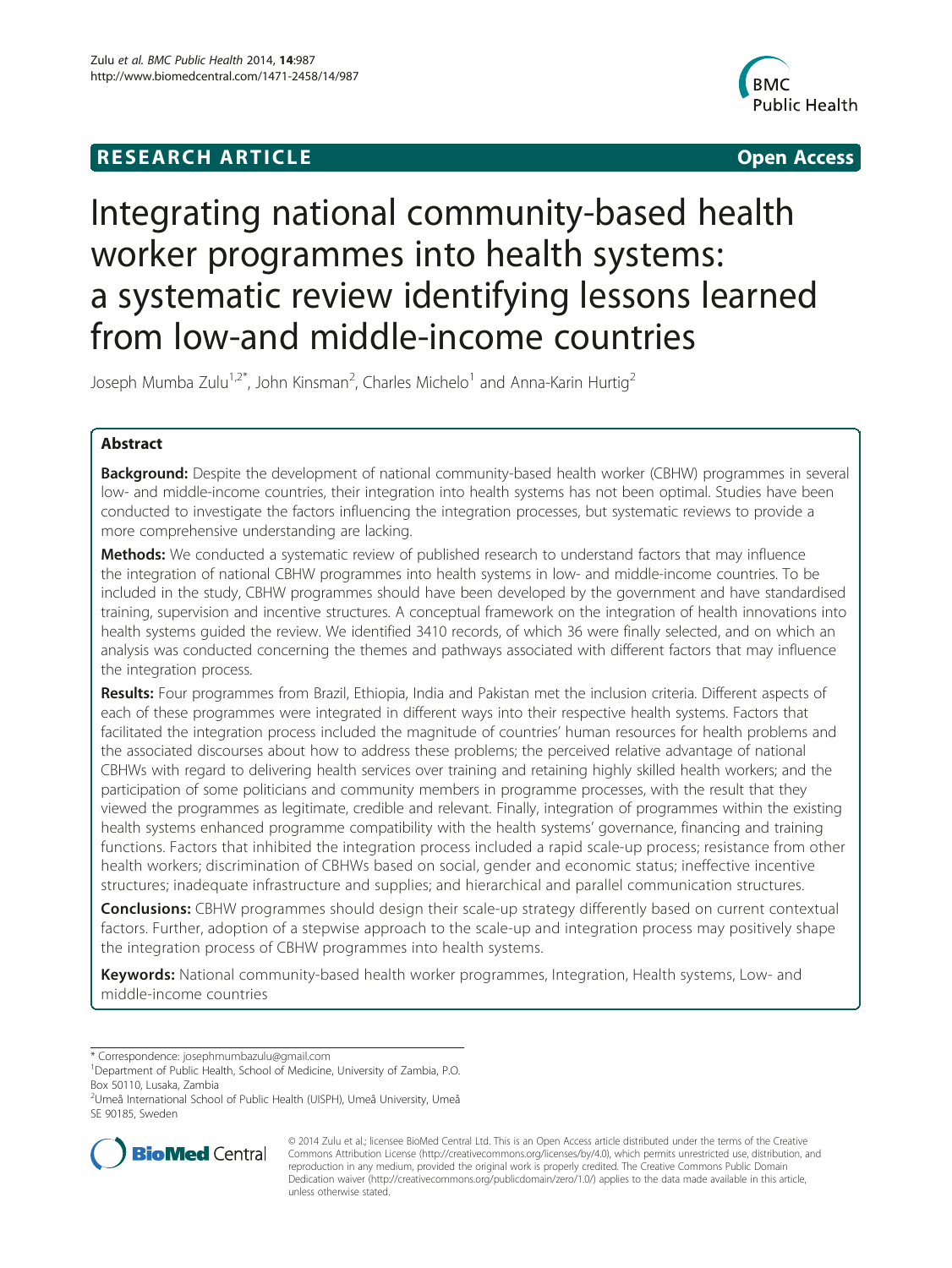## **RESEARCH ARTICLE Example 2008 CONSIDERING CONSIDERING CONSIDERING CONSIDERING CONSIDERING CONSIDERING CONSIDERING CONSIDERING CONSIDERING CONSIDERING CONSIDERING CONSIDERING CONSIDERING CONSIDERING CONSIDERING CONSIDE**



# Integrating national community-based health worker programmes into health systems: a systematic review identifying lessons learned from low-and middle-income countries

Joseph Mumba Zulu<sup>1,2\*</sup>, John Kinsman<sup>2</sup>, Charles Michelo<sup>1</sup> and Anna-Karin Hurtig<sup>2</sup>

## Abstract

**Background:** Despite the development of national community-based health worker (CBHW) programmes in several low- and middle-income countries, their integration into health systems has not been optimal. Studies have been conducted to investigate the factors influencing the integration processes, but systematic reviews to provide a more comprehensive understanding are lacking.

**Methods:** We conducted a systematic review of published research to understand factors that may influence the integration of national CBHW programmes into health systems in low- and middle-income countries. To be included in the study, CBHW programmes should have been developed by the government and have standardised training, supervision and incentive structures. A conceptual framework on the integration of health innovations into health systems guided the review. We identified 3410 records, of which 36 were finally selected, and on which an analysis was conducted concerning the themes and pathways associated with different factors that may influence the integration process.

Results: Four programmes from Brazil, Ethiopia, India and Pakistan met the inclusion criteria. Different aspects of each of these programmes were integrated in different ways into their respective health systems. Factors that facilitated the integration process included the magnitude of countries' human resources for health problems and the associated discourses about how to address these problems; the perceived relative advantage of national CBHWs with regard to delivering health services over training and retaining highly skilled health workers; and the participation of some politicians and community members in programme processes, with the result that they viewed the programmes as legitimate, credible and relevant. Finally, integration of programmes within the existing health systems enhanced programme compatibility with the health systems' governance, financing and training functions. Factors that inhibited the integration process included a rapid scale-up process; resistance from other health workers; discrimination of CBHWs based on social, gender and economic status; ineffective incentive structures; inadequate infrastructure and supplies; and hierarchical and parallel communication structures.

**Conclusions:** CBHW programmes should design their scale-up strategy differently based on current contextual factors. Further, adoption of a stepwise approach to the scale-up and integration process may positively shape the integration process of CBHW programmes into health systems.

Keywords: National community-based health worker programmes, Integration, Health systems, Low- and middle-income countries

\* Correspondence: [josephmumbazulu@gmail.com](mailto:josephmumbazulu@gmail.com) <sup>1</sup>

<sup>&</sup>lt;sup>2</sup>Umeå International School of Public Health (UISPH), Umeå University, Umeå SE 90185, Sweden



© 2014 Zulu et al.; licensee BioMed Central Ltd. This is an Open Access article distributed under the terms of the Creative Commons Attribution License [\(http://creativecommons.org/licenses/by/4.0\)](http://creativecommons.org/licenses/by/4.0), which permits unrestricted use, distribution, and reproduction in any medium, provided the original work is properly credited. The Creative Commons Public Domain Dedication waiver [\(http://creativecommons.org/publicdomain/zero/1.0/](http://creativecommons.org/publicdomain/zero/1.0/)) applies to the data made available in this article, unless otherwise stated.

Department of Public Health, School of Medicine, University of Zambia, P.O. Box 50110, Lusaka, Zambia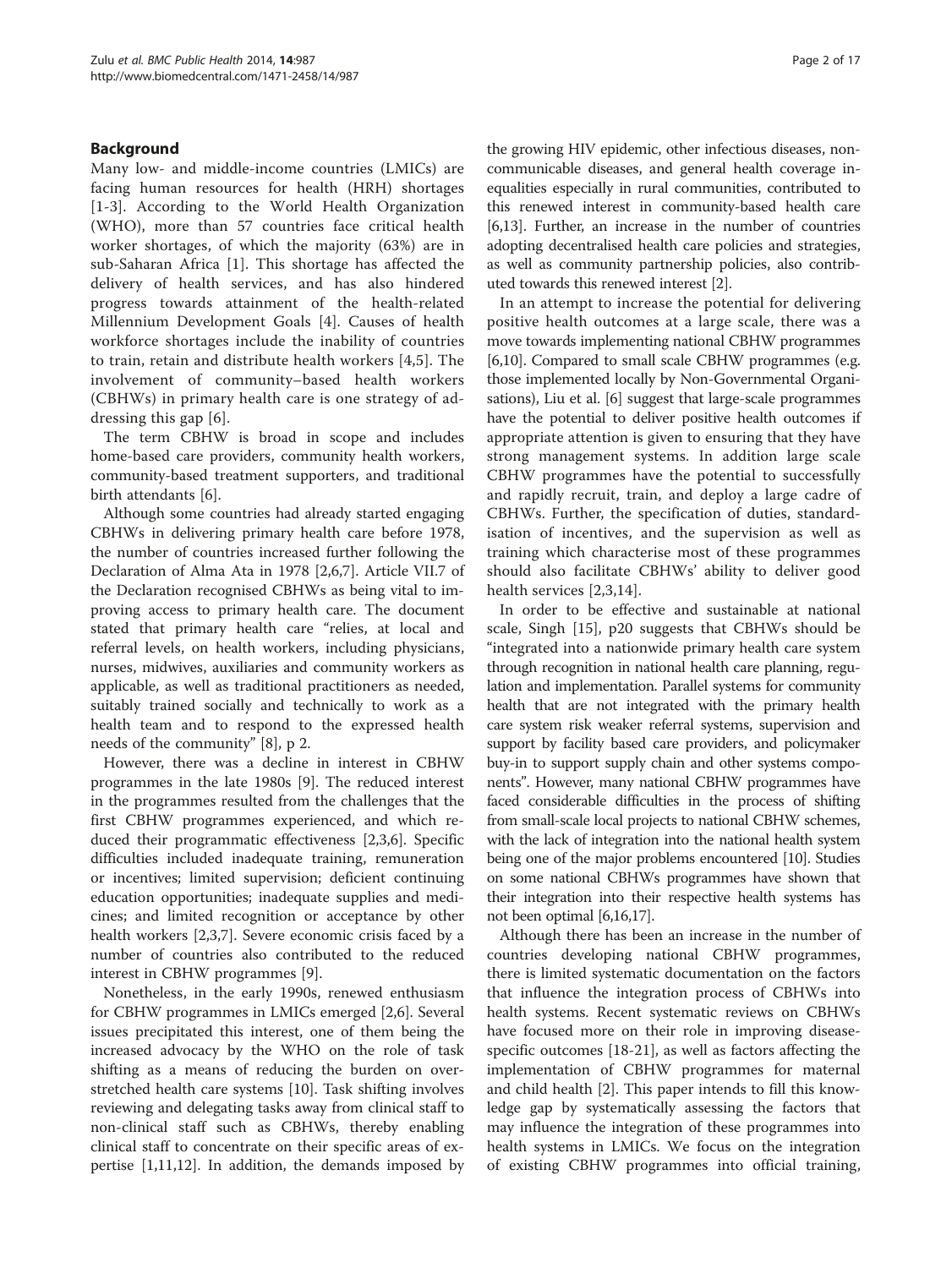## Background

Many low- and middle-income countries (LMICs) are facing human resources for health (HRH) shortages [[1-3\]](#page-14-0). According to the World Health Organization (WHO), more than 57 countries face critical health worker shortages, of which the majority (63%) are in sub-Saharan Africa [\[1](#page-14-0)]. This shortage has affected the delivery of health services, and has also hindered progress towards attainment of the health-related Millennium Development Goals [[4\]](#page-14-0). Causes of health workforce shortages include the inability of countries to train, retain and distribute health workers [[4,5](#page-14-0)]. The involvement of community–based health workers (CBHWs) in primary health care is one strategy of addressing this gap [[6\]](#page-14-0).

The term CBHW is broad in scope and includes home-based care providers, community health workers, community-based treatment supporters, and traditional birth attendants [\[6](#page-14-0)].

Although some countries had already started engaging CBHWs in delivering primary health care before 1978, the number of countries increased further following the Declaration of Alma Ata in 1978 [\[2,6,7](#page-14-0)]. Article VII.7 of the Declaration recognised CBHWs as being vital to improving access to primary health care. The document stated that primary health care "relies, at local and referral levels, on health workers, including physicians, nurses, midwives, auxiliaries and community workers as applicable, as well as traditional practitioners as needed, suitably trained socially and technically to work as a health team and to respond to the expressed health needs of the community" [\[8](#page-15-0)], p 2.

However, there was a decline in interest in CBHW programmes in the late 1980s [\[9](#page-15-0)]. The reduced interest in the programmes resulted from the challenges that the first CBHW programmes experienced, and which reduced their programmatic effectiveness [\[2,3,6](#page-14-0)]. Specific difficulties included inadequate training, remuneration or incentives; limited supervision; deficient continuing education opportunities; inadequate supplies and medicines; and limited recognition or acceptance by other health workers [\[2,3,7](#page-14-0)]. Severe economic crisis faced by a number of countries also contributed to the reduced interest in CBHW programmes [[9](#page-15-0)].

Nonetheless, in the early 1990s, renewed enthusiasm for CBHW programmes in LMICs emerged [\[2,6](#page-14-0)]. Several issues precipitated this interest, one of them being the increased advocacy by the WHO on the role of task shifting as a means of reducing the burden on overstretched health care systems [[10](#page-15-0)]. Task shifting involves reviewing and delegating tasks away from clinical staff to non-clinical staff such as CBHWs, thereby enabling clinical staff to concentrate on their specific areas of expertise [[1](#page-14-0),[11](#page-15-0),[12](#page-15-0)]. In addition, the demands imposed by the growing HIV epidemic, other infectious diseases, noncommunicable diseases, and general health coverage inequalities especially in rural communities, contributed to this renewed interest in community-based health care [[6,](#page-14-0)[13](#page-15-0)]. Further, an increase in the number of countries adopting decentralised health care policies and strategies, as well as community partnership policies, also contributed towards this renewed interest [\[2](#page-14-0)].

In an attempt to increase the potential for delivering positive health outcomes at a large scale, there was a move towards implementing national CBHW programmes [[6,](#page-14-0)[10](#page-15-0)]. Compared to small scale CBHW programmes (e.g. those implemented locally by Non-Governmental Organisations), Liu et al. [[6\]](#page-14-0) suggest that large-scale programmes have the potential to deliver positive health outcomes if appropriate attention is given to ensuring that they have strong management systems. In addition large scale CBHW programmes have the potential to successfully and rapidly recruit, train, and deploy a large cadre of CBHWs. Further, the specification of duties, standardisation of incentives, and the supervision as well as training which characterise most of these programmes should also facilitate CBHWs' ability to deliver good health services [[2,3,](#page-14-0)[14](#page-15-0)].

In order to be effective and sustainable at national scale, Singh [\[15](#page-15-0)], p20 suggests that CBHWs should be "integrated into a nationwide primary health care system through recognition in national health care planning, regulation and implementation. Parallel systems for community health that are not integrated with the primary health care system risk weaker referral systems, supervision and support by facility based care providers, and policymaker buy-in to support supply chain and other systems components". However, many national CBHW programmes have faced considerable difficulties in the process of shifting from small-scale local projects to national CBHW schemes, with the lack of integration into the national health system being one of the major problems encountered [[10](#page-15-0)]. Studies on some national CBHWs programmes have shown that their integration into their respective health systems has not been optimal [\[6,](#page-14-0)[16,17\]](#page-15-0).

Although there has been an increase in the number of countries developing national CBHW programmes, there is limited systematic documentation on the factors that influence the integration process of CBHWs into health systems. Recent systematic reviews on CBHWs have focused more on their role in improving diseasespecific outcomes [[18-21\]](#page-15-0), as well as factors affecting the implementation of CBHW programmes for maternal and child health [\[2\]](#page-14-0). This paper intends to fill this knowledge gap by systematically assessing the factors that may influence the integration of these programmes into health systems in LMICs. We focus on the integration of existing CBHW programmes into official training,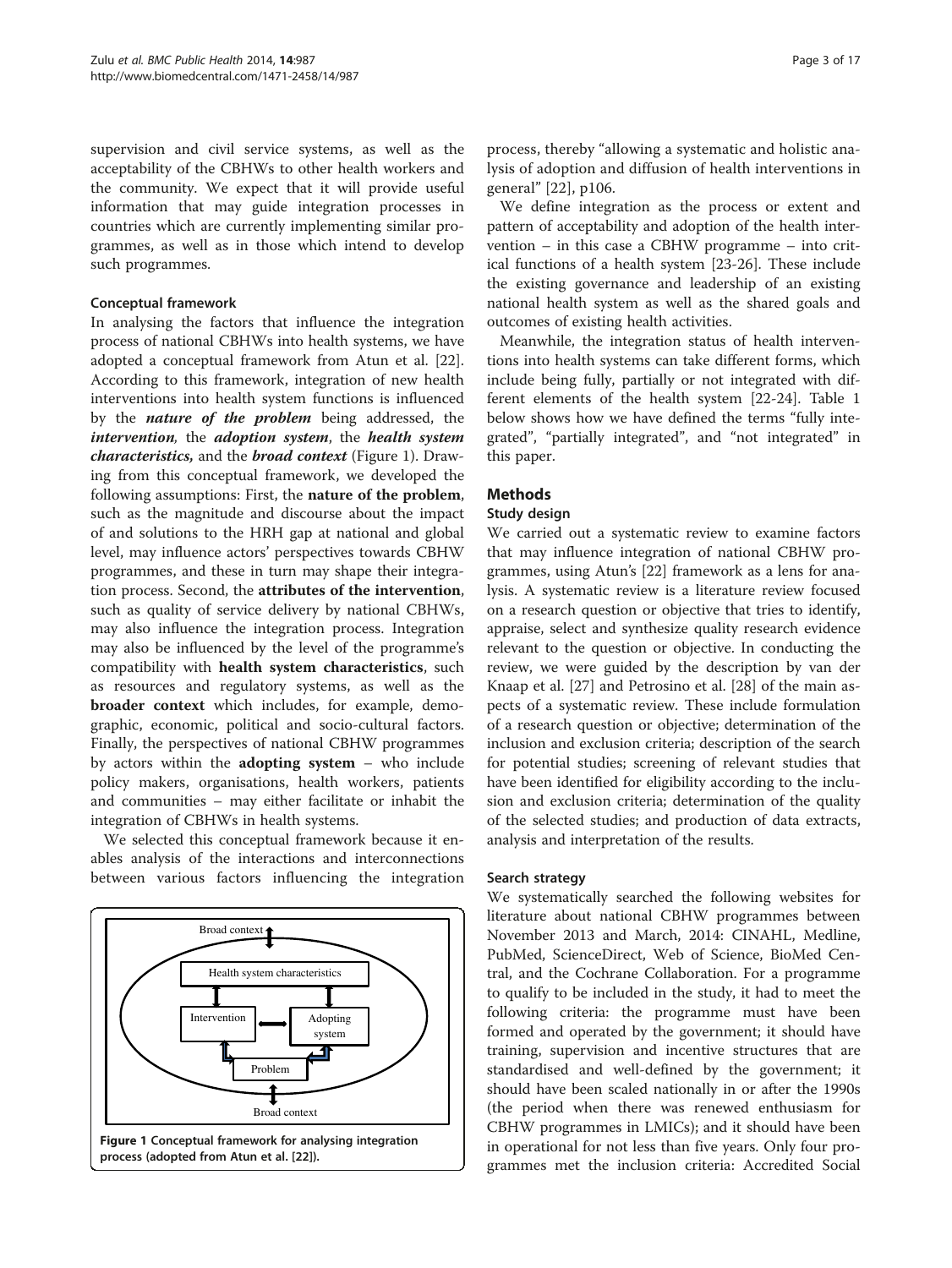supervision and civil service systems, as well as the acceptability of the CBHWs to other health workers and the community. We expect that it will provide useful information that may guide integration processes in countries which are currently implementing similar programmes, as well as in those which intend to develop such programmes.

## Conceptual framework

In analysing the factors that influence the integration process of national CBHWs into health systems, we have adopted a conceptual framework from Atun et al. [\[22](#page-15-0)]. According to this framework, integration of new health interventions into health system functions is influenced by the *nature* of the *problem* being addressed, the intervention, the adoption system, the health system characteristics, and the broad context (Figure 1). Drawing from this conceptual framework, we developed the following assumptions: First, the nature of the problem, such as the magnitude and discourse about the impact of and solutions to the HRH gap at national and global level, may influence actors' perspectives towards CBHW programmes, and these in turn may shape their integration process. Second, the attributes of the intervention, such as quality of service delivery by national CBHWs, may also influence the integration process. Integration may also be influenced by the level of the programme's compatibility with health system characteristics, such as resources and regulatory systems, as well as the broader context which includes, for example, demographic, economic, political and socio-cultural factors. Finally, the perspectives of national CBHW programmes by actors within the adopting system – who include policy makers, organisations, health workers, patients and communities – may either facilitate or inhabit the integration of CBHWs in health systems.

We selected this conceptual framework because it enables analysis of the interactions and interconnections between various factors influencing the integration



process, thereby "allowing a systematic and holistic analysis of adoption and diffusion of health interventions in general" [[22\]](#page-15-0), p106.

We define integration as the process or extent and pattern of acceptability and adoption of the health intervention – in this case a CBHW programme – into critical functions of a health system [\[23-26](#page-15-0)]. These include the existing governance and leadership of an existing national health system as well as the shared goals and outcomes of existing health activities.

Meanwhile, the integration status of health interventions into health systems can take different forms, which include being fully, partially or not integrated with different elements of the health system [[22-24](#page-15-0)]. Table [1](#page-3-0) below shows how we have defined the terms "fully integrated", "partially integrated", and "not integrated" in this paper.

## Methods

### Study design

We carried out a systematic review to examine factors that may influence integration of national CBHW programmes, using Atun's [[22](#page-15-0)] framework as a lens for analysis. A systematic review is a literature review focused on a research question or objective that tries to identify, appraise, select and synthesize quality research evidence relevant to the question or objective. In conducting the review, we were guided by the description by van der Knaap et al. [\[27](#page-15-0)] and Petrosino et al. [[28](#page-15-0)] of the main aspects of a systematic review. These include formulation of a research question or objective; determination of the inclusion and exclusion criteria; description of the search for potential studies; screening of relevant studies that have been identified for eligibility according to the inclusion and exclusion criteria; determination of the quality of the selected studies; and production of data extracts, analysis and interpretation of the results.

### Search strategy

We systematically searched the following websites for literature about national CBHW programmes between November 2013 and March, 2014: CINAHL, Medline, PubMed, ScienceDirect, Web of Science, BioMed Central, and the Cochrane Collaboration. For a programme to qualify to be included in the study, it had to meet the following criteria: the programme must have been formed and operated by the government; it should have training, supervision and incentive structures that are standardised and well-defined by the government; it should have been scaled nationally in or after the 1990s (the period when there was renewed enthusiasm for CBHW programmes in LMICs); and it should have been in operational for not less than five years. Only four programmes met the inclusion criteria: Accredited Social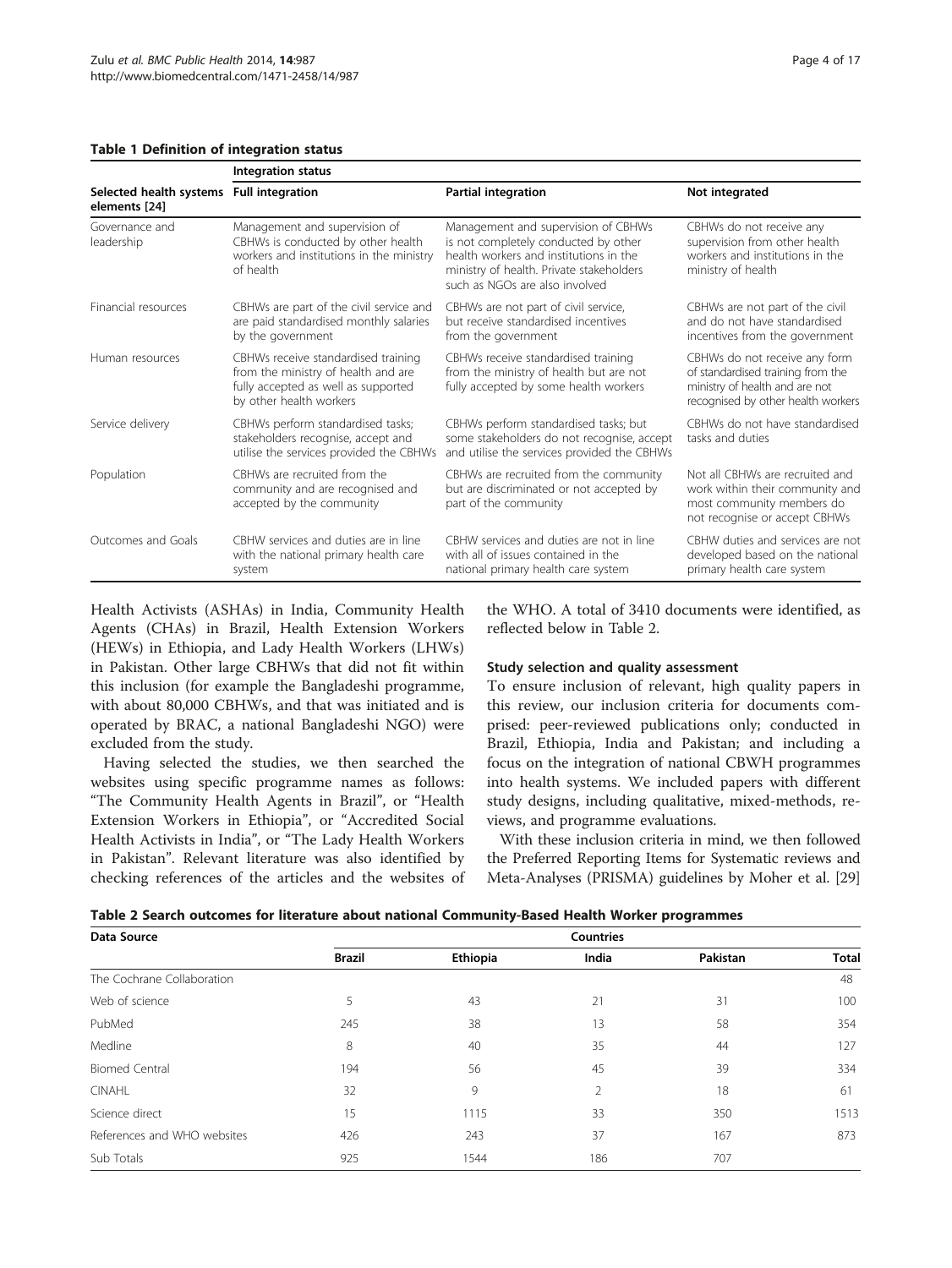|                                          | Integration status                                                                                                                           |                                                                                                                                                                                                     |                                                                                                                                            |  |  |  |  |
|------------------------------------------|----------------------------------------------------------------------------------------------------------------------------------------------|-----------------------------------------------------------------------------------------------------------------------------------------------------------------------------------------------------|--------------------------------------------------------------------------------------------------------------------------------------------|--|--|--|--|
| Selected health systems<br>elements [24] | <b>Full integration</b>                                                                                                                      | <b>Partial integration</b>                                                                                                                                                                          | Not integrated                                                                                                                             |  |  |  |  |
| Governance and<br>leadership             | Management and supervision of<br>CBHWs is conducted by other health<br>workers and institutions in the ministry<br>of health                 | Management and supervision of CBHWs<br>is not completely conducted by other<br>health workers and institutions in the<br>ministry of health. Private stakeholders<br>such as NGOs are also involved | CBHWs do not receive any<br>supervision from other health<br>workers and institutions in the<br>ministry of health                         |  |  |  |  |
| Financial resources                      | CBHWs are part of the civil service and<br>are paid standardised monthly salaries<br>by the government                                       | CBHWs are not part of civil service,<br>but receive standardised incentives<br>from the government                                                                                                  | CBHWs are not part of the civil<br>and do not have standardised<br>incentives from the government                                          |  |  |  |  |
| Human resources                          | CBHWs receive standardised training<br>from the ministry of health and are<br>fully accepted as well as supported<br>by other health workers | CBHWs receive standardised training<br>from the ministry of health but are not<br>fully accepted by some health workers                                                                             | CBHWs do not receive any form<br>of standardised training from the<br>ministry of health and are not<br>recognised by other health workers |  |  |  |  |
| Service delivery                         | CBHWs perform standardised tasks;<br>stakeholders recognise, accept and<br>utilise the services provided the CBHWs                           | CBHWs perform standardised tasks; but<br>some stakeholders do not recognise, accept<br>and utilise the services provided the CBHWs                                                                  | CBHWs do not have standardised<br>tasks and duties                                                                                         |  |  |  |  |
| Population                               | CBHWs are recruited from the<br>community and are recognised and<br>accepted by the community                                                | CBHWs are recruited from the community<br>but are discriminated or not accepted by<br>part of the community                                                                                         | Not all CBHWs are recruited and<br>work within their community and<br>most community members do<br>not recognise or accept CBHWs           |  |  |  |  |
| Outcomes and Goals                       | CBHW services and duties are in line<br>with the national primary health care<br>system                                                      | CBHW services and duties are not in line<br>with all of issues contained in the<br>national primary health care system                                                                              | CBHW duties and services are not<br>developed based on the national<br>primary health care system                                          |  |  |  |  |

## <span id="page-3-0"></span>Table 1 Definition of integration status

Health Activists (ASHAs) in India, Community Health Agents (CHAs) in Brazil, Health Extension Workers (HEWs) in Ethiopia, and Lady Health Workers (LHWs) in Pakistan. Other large CBHWs that did not fit within this inclusion (for example the Bangladeshi programme, with about 80,000 CBHWs, and that was initiated and is operated by BRAC, a national Bangladeshi NGO) were excluded from the study.

Having selected the studies, we then searched the websites using specific programme names as follows: "The Community Health Agents in Brazil", or "Health Extension Workers in Ethiopia", or "Accredited Social Health Activists in India", or "The Lady Health Workers in Pakistan". Relevant literature was also identified by checking references of the articles and the websites of

the WHO. A total of 3410 documents were identified, as reflected below in Table 2.

## Study selection and quality assessment

To ensure inclusion of relevant, high quality papers in this review, our inclusion criteria for documents comprised: peer-reviewed publications only; conducted in Brazil, Ethiopia, India and Pakistan; and including a focus on the integration of national CBWH programmes into health systems. We included papers with different study designs, including qualitative, mixed-methods, reviews, and programme evaluations.

With these inclusion criteria in mind, we then followed the Preferred Reporting Items for Systematic reviews and Meta-Analyses (PRISMA) guidelines by Moher et al. [[29](#page-15-0)]

|  | Table 2 Search outcomes for literature about national Community-Based Health Worker programmes |  |  |  |  |
|--|------------------------------------------------------------------------------------------------|--|--|--|--|
|--|------------------------------------------------------------------------------------------------|--|--|--|--|

| Data Source                 |               |          | <b>Countries</b> |          |              |
|-----------------------------|---------------|----------|------------------|----------|--------------|
|                             | <b>Brazil</b> | Ethiopia | India            | Pakistan | <b>Total</b> |
| The Cochrane Collaboration  |               |          |                  |          | 48           |
| Web of science              | 5             | 43       | 21               | 31       | 100          |
| PubMed                      | 245           | 38       | 13               | 58       | 354          |
| Medline                     | 8             | 40       | 35               | 44       | 127          |
| <b>Biomed Central</b>       | 194           | 56       | 45               | 39       | 334          |
| CINAHL                      | 32            | 9        | 2                | 18       | 61           |
| Science direct              | 15            | 1115     | 33               | 350      | 1513         |
| References and WHO websites | 426           | 243      | 37               | 167      | 873          |
| Sub Totals                  | 925           | 1544     | 186              | 707      |              |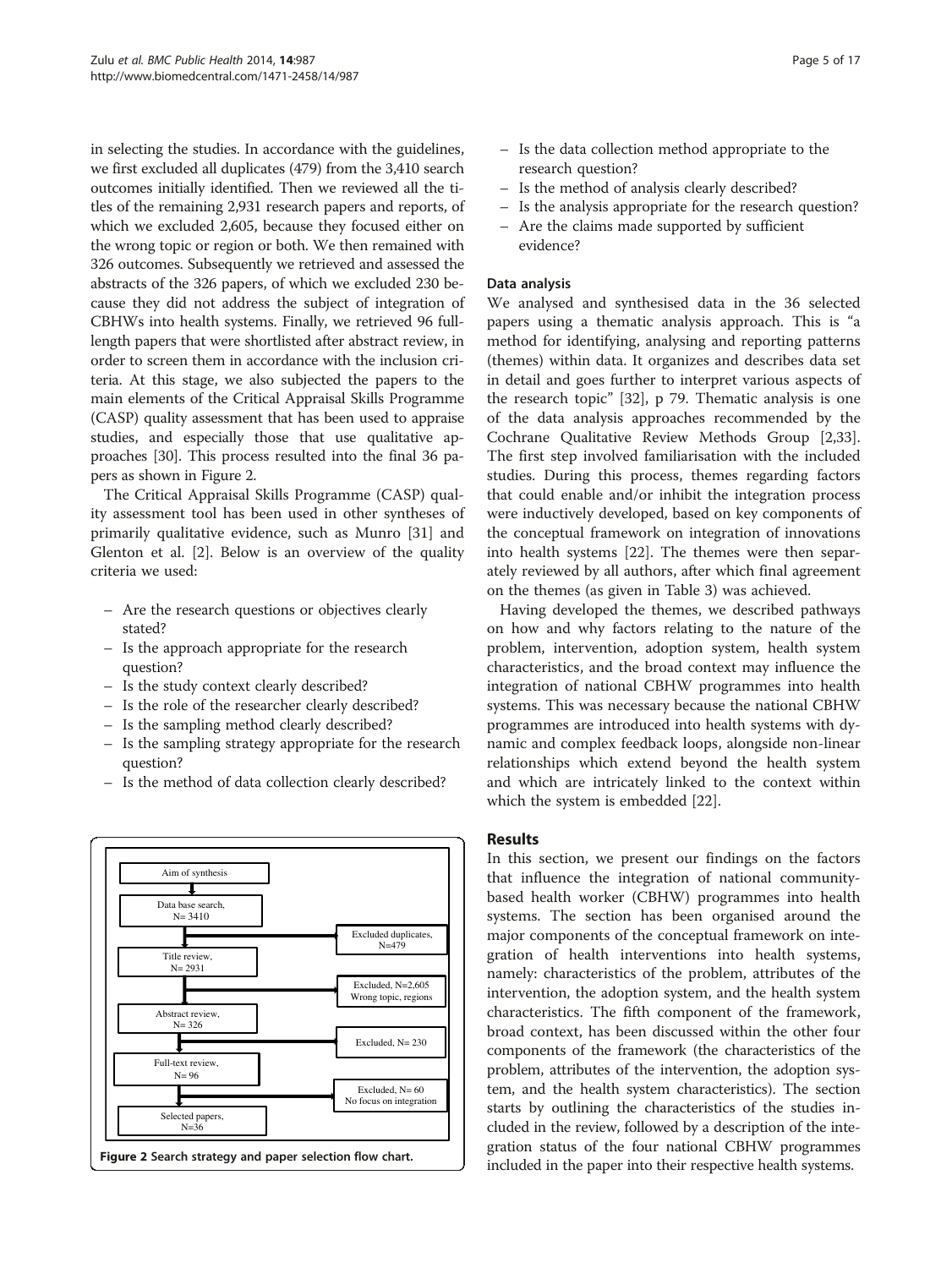in selecting the studies. In accordance with the guidelines, we first excluded all duplicates (479) from the 3,410 search outcomes initially identified. Then we reviewed all the titles of the remaining 2,931 research papers and reports, of which we excluded 2,605, because they focused either on the wrong topic or region or both. We then remained with 326 outcomes. Subsequently we retrieved and assessed the abstracts of the 326 papers, of which we excluded 230 because they did not address the subject of integration of CBHWs into health systems. Finally, we retrieved 96 fulllength papers that were shortlisted after abstract review, in order to screen them in accordance with the inclusion criteria. At this stage, we also subjected the papers to the main elements of the Critical Appraisal Skills Programme (CASP) quality assessment that has been used to appraise studies, and especially those that use qualitative approaches [\[30\]](#page-15-0). This process resulted into the final 36 papers as shown in Figure 2.

The Critical Appraisal Skills Programme (CASP) quality assessment tool has been used in other syntheses of primarily qualitative evidence, such as Munro [\[31](#page-15-0)] and Glenton et al. [\[2](#page-14-0)]. Below is an overview of the quality criteria we used:

- Are the research questions or objectives clearly stated?
- Is the approach appropriate for the research question?
- Is the study context clearly described?
- Is the role of the researcher clearly described?
- Is the sampling method clearly described?
- Is the sampling strategy appropriate for the research question?
- Is the method of data collection clearly described?



- Is the data collection method appropriate to the research question?
- Is the method of analysis clearly described?
- Is the analysis appropriate for the research question?
- Are the claims made supported by sufficient evidence?

## Data analysis

We analysed and synthesised data in the 36 selected papers using a thematic analysis approach. This is "a method for identifying, analysing and reporting patterns (themes) within data. It organizes and describes data set in detail and goes further to interpret various aspects of the research topic" [[32\]](#page-15-0), p 79. Thematic analysis is one of the data analysis approaches recommended by the Cochrane Qualitative Review Methods Group [\[2](#page-14-0)[,33](#page-15-0)]. The first step involved familiarisation with the included studies. During this process, themes regarding factors that could enable and/or inhibit the integration process were inductively developed, based on key components of the conceptual framework on integration of innovations into health systems [[22\]](#page-15-0). The themes were then separately reviewed by all authors, after which final agreement on the themes (as given in Table [3\)](#page-5-0) was achieved.

Having developed the themes, we described pathways on how and why factors relating to the nature of the problem, intervention, adoption system, health system characteristics, and the broad context may influence the integration of national CBHW programmes into health systems. This was necessary because the national CBHW programmes are introduced into health systems with dynamic and complex feedback loops, alongside non-linear relationships which extend beyond the health system and which are intricately linked to the context within which the system is embedded [\[22\]](#page-15-0).

## Results

In this section, we present our findings on the factors that influence the integration of national communitybased health worker (CBHW) programmes into health systems. The section has been organised around the major components of the conceptual framework on integration of health interventions into health systems, namely: characteristics of the problem, attributes of the intervention, the adoption system, and the health system characteristics. The fifth component of the framework, broad context, has been discussed within the other four components of the framework (the characteristics of the problem, attributes of the intervention, the adoption system, and the health system characteristics). The section starts by outlining the characteristics of the studies included in the review, followed by a description of the integration status of the four national CBHW programmes included in the paper into their respective health systems.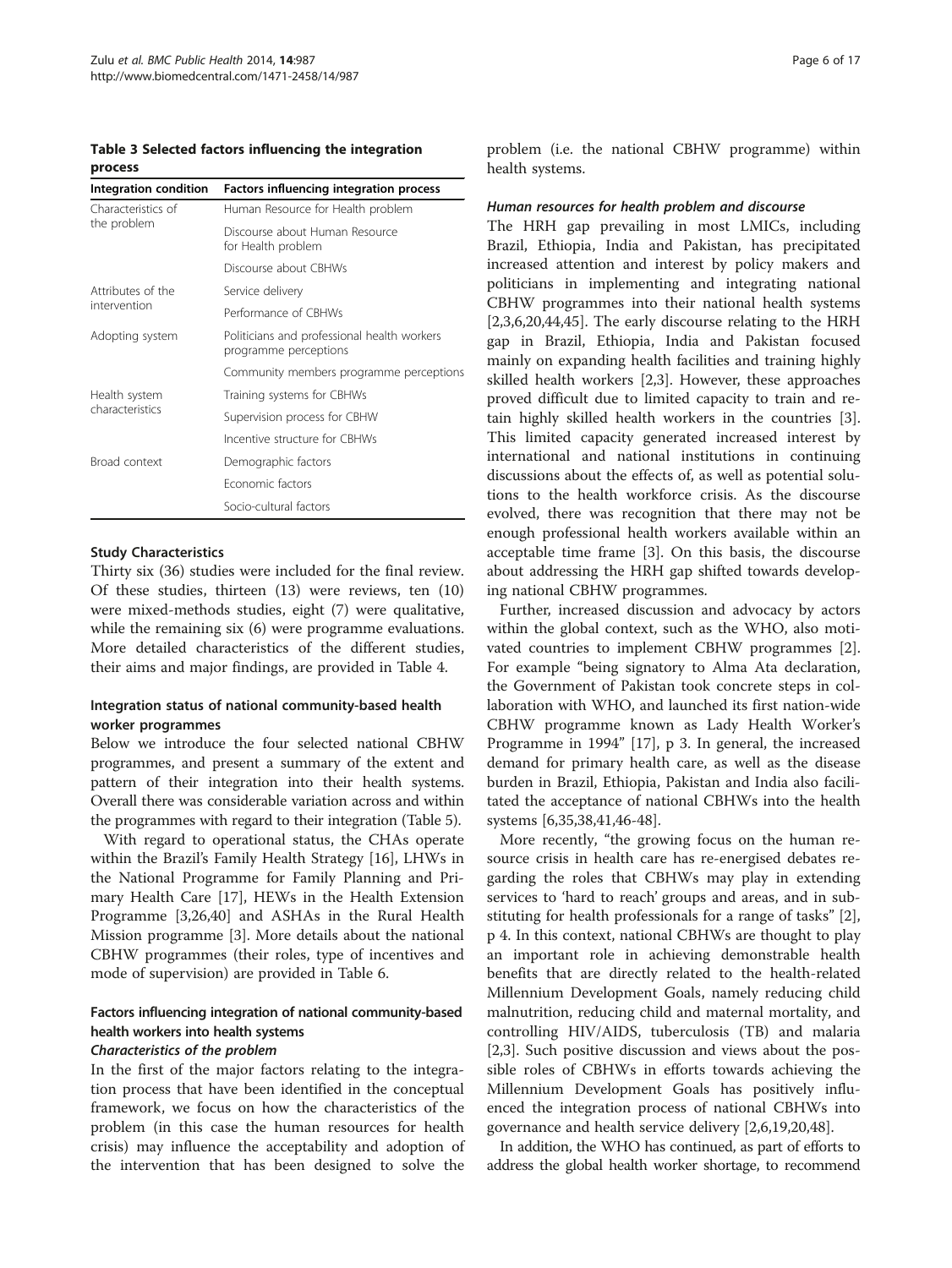<span id="page-5-0"></span>Table 3 Selected factors influencing the integration process

| Integration condition | Factors influencing integration process                              |  |  |
|-----------------------|----------------------------------------------------------------------|--|--|
| Characteristics of    | Human Resource for Health problem                                    |  |  |
| the problem           | Discourse about Human Resource<br>for Health problem                 |  |  |
|                       | Discourse about CBHWs                                                |  |  |
| Attributes of the     | Service delivery                                                     |  |  |
| intervention          | Performance of CBHWs                                                 |  |  |
| Adopting system       | Politicians and professional health workers<br>programme perceptions |  |  |
|                       | Community members programme perceptions                              |  |  |
| Health system         | Training systems for CBHWs                                           |  |  |
| characteristics       | Supervision process for CBHW                                         |  |  |
|                       | Incentive structure for CBHWs                                        |  |  |
| Broad context         | Demographic factors                                                  |  |  |
|                       | Economic factors                                                     |  |  |
|                       | Socio-cultural factors                                               |  |  |

#### Study Characteristics

Thirty six (36) studies were included for the final review. Of these studies, thirteen (13) were reviews, ten (10) were mixed-methods studies, eight (7) were qualitative, while the remaining six (6) were programme evaluations. More detailed characteristics of the different studies, their aims and major findings, are provided in Table [4](#page-6-0).

## Integration status of national community-based health worker programmes

Below we introduce the four selected national CBHW programmes, and present a summary of the extent and pattern of their integration into their health systems. Overall there was considerable variation across and within the programmes with regard to their integration (Table [5\)](#page-8-0).

With regard to operational status, the CHAs operate within the Brazil's Family Health Strategy [\[16\]](#page-15-0), LHWs in the National Programme for Family Planning and Primary Health Care [\[17](#page-15-0)], HEWs in the Health Extension Programme [[3,](#page-14-0)[26,40\]](#page-15-0) and ASHAs in the Rural Health Mission programme [\[3](#page-14-0)]. More details about the national CBHW programmes (their roles, type of incentives and mode of supervision) are provided in Table [6](#page-9-0).

## Factors influencing integration of national community-based health workers into health systems

## Characteristics of the problem

In the first of the major factors relating to the integration process that have been identified in the conceptual framework, we focus on how the characteristics of the problem (in this case the human resources for health crisis) may influence the acceptability and adoption of the intervention that has been designed to solve the

problem (i.e. the national CBHW programme) within health systems.

#### Human resources for health problem and discourse

The HRH gap prevailing in most LMICs, including Brazil, Ethiopia, India and Pakistan, has precipitated increased attention and interest by policy makers and politicians in implementing and integrating national CBHW programmes into their national health systems [[2,3,6,](#page-14-0)[20,44,45\]](#page-15-0). The early discourse relating to the HRH gap in Brazil, Ethiopia, India and Pakistan focused mainly on expanding health facilities and training highly skilled health workers [[2,3\]](#page-14-0). However, these approaches proved difficult due to limited capacity to train and retain highly skilled health workers in the countries [\[3](#page-14-0)]. This limited capacity generated increased interest by international and national institutions in continuing discussions about the effects of, as well as potential solutions to the health workforce crisis. As the discourse evolved, there was recognition that there may not be enough professional health workers available within an acceptable time frame [\[3](#page-14-0)]. On this basis, the discourse about addressing the HRH gap shifted towards developing national CBHW programmes.

Further, increased discussion and advocacy by actors within the global context, such as the WHO, also motivated countries to implement CBHW programmes [\[2](#page-14-0)]. For example "being signatory to Alma Ata declaration, the Government of Pakistan took concrete steps in collaboration with WHO, and launched its first nation-wide CBHW programme known as Lady Health Worker's Programme in 1994" [[17\]](#page-15-0), p 3. In general, the increased demand for primary health care, as well as the disease burden in Brazil, Ethiopia, Pakistan and India also facilitated the acceptance of national CBHWs into the health systems [\[6](#page-14-0)[,35,38,41,46](#page-15-0)-[48](#page-15-0)].

More recently, "the growing focus on the human resource crisis in health care has re-energised debates regarding the roles that CBHWs may play in extending services to 'hard to reach' groups and areas, and in substituting for health professionals for a range of tasks" [\[2](#page-14-0)], p 4. In this context, national CBHWs are thought to play an important role in achieving demonstrable health benefits that are directly related to the health-related Millennium Development Goals, namely reducing child malnutrition, reducing child and maternal mortality, and controlling HIV/AIDS, tuberculosis (TB) and malaria [[2,3\]](#page-14-0). Such positive discussion and views about the possible roles of CBHWs in efforts towards achieving the Millennium Development Goals has positively influenced the integration process of national CBHWs into governance and health service delivery [[2,6,](#page-14-0)[19,20,48\]](#page-15-0).

In addition, the WHO has continued, as part of efforts to address the global health worker shortage, to recommend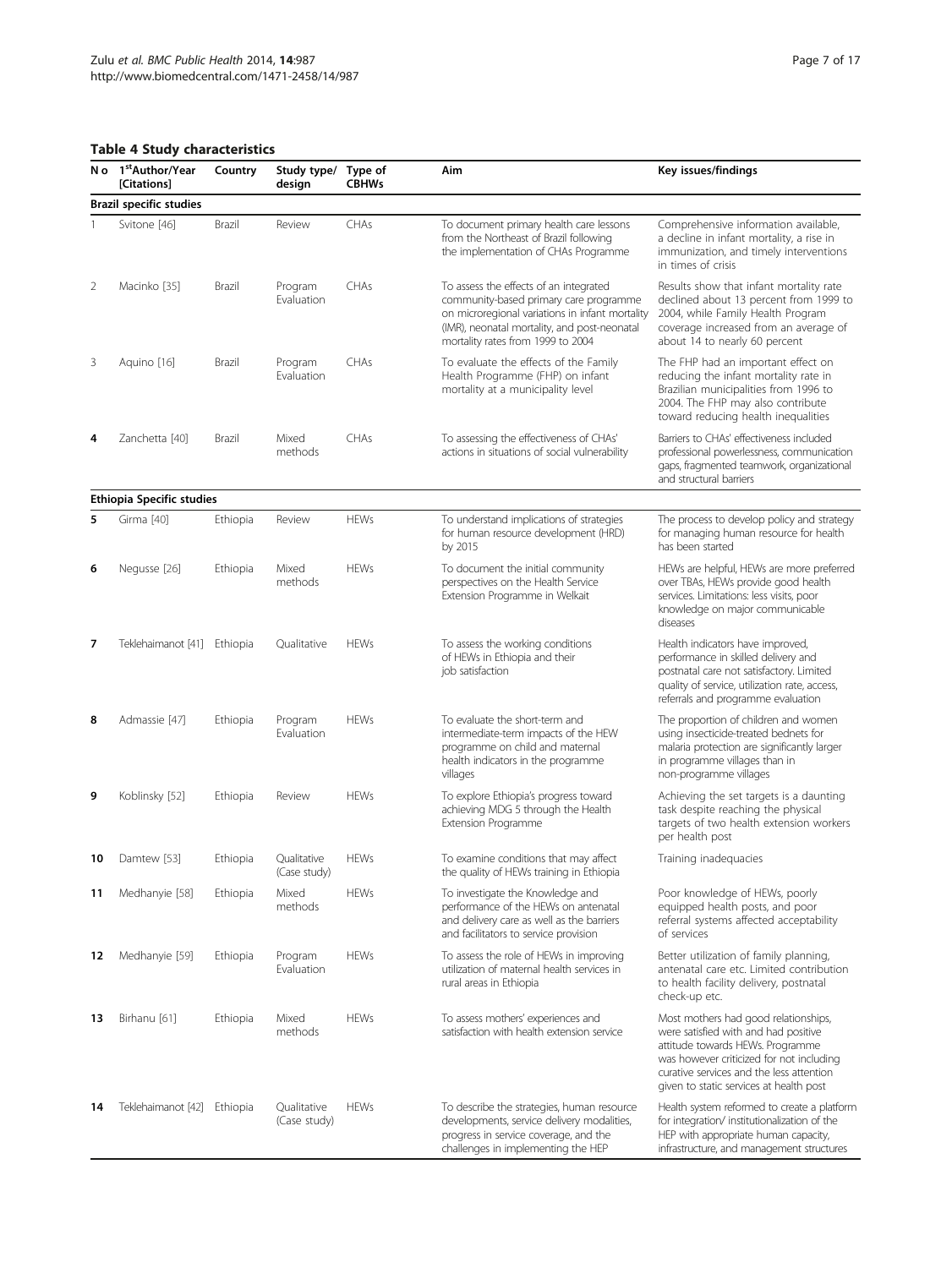## <span id="page-6-0"></span>Table 4 Study characteristics

|    | No 1 <sup>st</sup> Author/Year<br>[Citations] | Country       | Study type/<br>design       | Type of<br><b>CBHWs</b> | Aim                                                                                                                                                                                                                      | Key issues/findings                                                                                                                                                                                                                                 |  |  |  |  |
|----|-----------------------------------------------|---------------|-----------------------------|-------------------------|--------------------------------------------------------------------------------------------------------------------------------------------------------------------------------------------------------------------------|-----------------------------------------------------------------------------------------------------------------------------------------------------------------------------------------------------------------------------------------------------|--|--|--|--|
|    | <b>Brazil specific studies</b>                |               |                             |                         |                                                                                                                                                                                                                          |                                                                                                                                                                                                                                                     |  |  |  |  |
| 1  | Svitone [46]                                  | Brazil        | Review                      | CHAs                    | To document primary health care lessons<br>from the Northeast of Brazil following<br>the implementation of CHAs Programme                                                                                                | Comprehensive information available,<br>a decline in infant mortality, a rise in<br>immunization, and timely interventions<br>in times of crisis                                                                                                    |  |  |  |  |
| 2  | Macinko [35]                                  | Brazil        | Program<br>Evaluation       | CHAs                    | To assess the effects of an integrated<br>community-based primary care programme<br>on microregional variations in infant mortality<br>(IMR), neonatal mortality, and post-neonatal<br>mortality rates from 1999 to 2004 | Results show that infant mortality rate<br>declined about 13 percent from 1999 to<br>2004, while Family Health Program<br>coverage increased from an average of<br>about 14 to nearly 60 percent                                                    |  |  |  |  |
| 3  | Aquino [16]                                   | <b>Brazil</b> | Program<br>Evaluation       | <b>CHAs</b>             | To evaluate the effects of the Family<br>Health Programme (FHP) on infant<br>mortality at a municipality level                                                                                                           | The FHP had an important effect on<br>reducing the infant mortality rate in<br>Brazilian municipalities from 1996 to<br>2004. The FHP may also contribute<br>toward reducing health inequalities                                                    |  |  |  |  |
| 4  | Zanchetta [40]                                | Brazil        | Mixed<br>methods            | <b>CHAs</b>             | To assessing the effectiveness of CHAs'<br>actions in situations of social vulnerability                                                                                                                                 | Barriers to CHAs' effectiveness included<br>professional powerlessness, communication<br>gaps, fragmented teamwork, organizational<br>and structural barriers                                                                                       |  |  |  |  |
|    | Ethiopia Specific studies                     |               |                             |                         |                                                                                                                                                                                                                          |                                                                                                                                                                                                                                                     |  |  |  |  |
| 5  | Girma [40]                                    | Ethiopia      | Review                      | <b>HEWs</b>             | To understand implications of strategies<br>for human resource development (HRD)<br>by 2015                                                                                                                              | The process to develop policy and strategy<br>for managing human resource for health<br>has been started                                                                                                                                            |  |  |  |  |
| 6  | Negusse [26]                                  | Ethiopia      | Mixed<br>methods            | <b>HEWs</b>             | To document the initial community<br>perspectives on the Health Service<br>Extension Programme in Welkait                                                                                                                | HEWs are helpful, HEWs are more preferred<br>over TBAs, HEWs provide good health<br>services. Limitations: less visits, poor<br>knowledge on major communicable<br>diseases                                                                         |  |  |  |  |
| 7  | Teklehaimanot [41]                            | Ethiopia      | Qualitative                 | <b>HEWs</b>             | To assess the working conditions<br>of HEWs in Ethiopia and their<br>job satisfaction                                                                                                                                    | Health indicators have improved,<br>performance in skilled delivery and<br>postnatal care not satisfactory. Limited<br>quality of service, utilization rate, access,<br>referrals and programme evaluation                                          |  |  |  |  |
| 8  | Admassie [47]                                 | Ethiopia      | Program<br>Evaluation       | <b>HEWs</b>             | To evaluate the short-term and<br>intermediate-term impacts of the HEW<br>programme on child and maternal<br>health indicators in the programme<br>villages                                                              | The proportion of children and women<br>using insecticide-treated bednets for<br>malaria protection are significantly larger<br>in programme villages than in<br>non-programme villages                                                             |  |  |  |  |
| 9  | Koblinsky [52]                                | Ethiopia      | Review                      | <b>HEWs</b>             | To explore Ethiopia's progress toward<br>achieving MDG 5 through the Health<br>Extension Programme                                                                                                                       | Achieving the set targets is a daunting<br>task despite reaching the physical<br>targets of two health extension workers<br>per health post                                                                                                         |  |  |  |  |
| 10 | Damtew [53]                                   | Ethiopia      | Qualitative<br>(Case study) | <b>HEWs</b>             | To examine conditions that may affect<br>the quality of HEWs training in Ethiopia                                                                                                                                        | Training inadequacies                                                                                                                                                                                                                               |  |  |  |  |
| 11 | Medhanyie [58]                                | Ethiopia      | Mixed<br>methods            | <b>HEWs</b>             | To investigate the Knowledge and<br>performance of the HEWs on antenatal<br>and delivery care as well as the barriers<br>and facilitators to service provision                                                           | Poor knowledge of HEWs, poorly<br>equipped health posts, and poor<br>referral systems affected acceptability<br>of services                                                                                                                         |  |  |  |  |
| 12 | Medhanyie [59]                                | Ethiopia      | Program<br>Evaluation       | <b>HEWs</b>             | To assess the role of HEWs in improving<br>utilization of maternal health services in<br>rural areas in Ethiopia                                                                                                         | Better utilization of family planning,<br>antenatal care etc. Limited contribution<br>to health facility delivery, postnatal<br>check-up etc.                                                                                                       |  |  |  |  |
| 13 | Birhanu [61]                                  | Ethiopia      | Mixed<br>methods            | <b>HEWs</b>             | To assess mothers' experiences and<br>satisfaction with health extension service                                                                                                                                         | Most mothers had good relationships,<br>were satisfied with and had positive<br>attitude towards HEWs. Programme<br>was however criticized for not including<br>curative services and the less attention<br>given to static services at health post |  |  |  |  |
| 14 | Teklehaimanot [42] Ethiopia                   |               | Qualitative<br>(Case study) | <b>HEWs</b>             | To describe the strategies, human resource<br>developments, service delivery modalities,<br>progress in service coverage, and the<br>challenges in implementing the HEP                                                  | Health system reformed to create a platform<br>for integration/ institutionalization of the<br>HEP with appropriate human capacity,<br>infrastructure, and management structures                                                                    |  |  |  |  |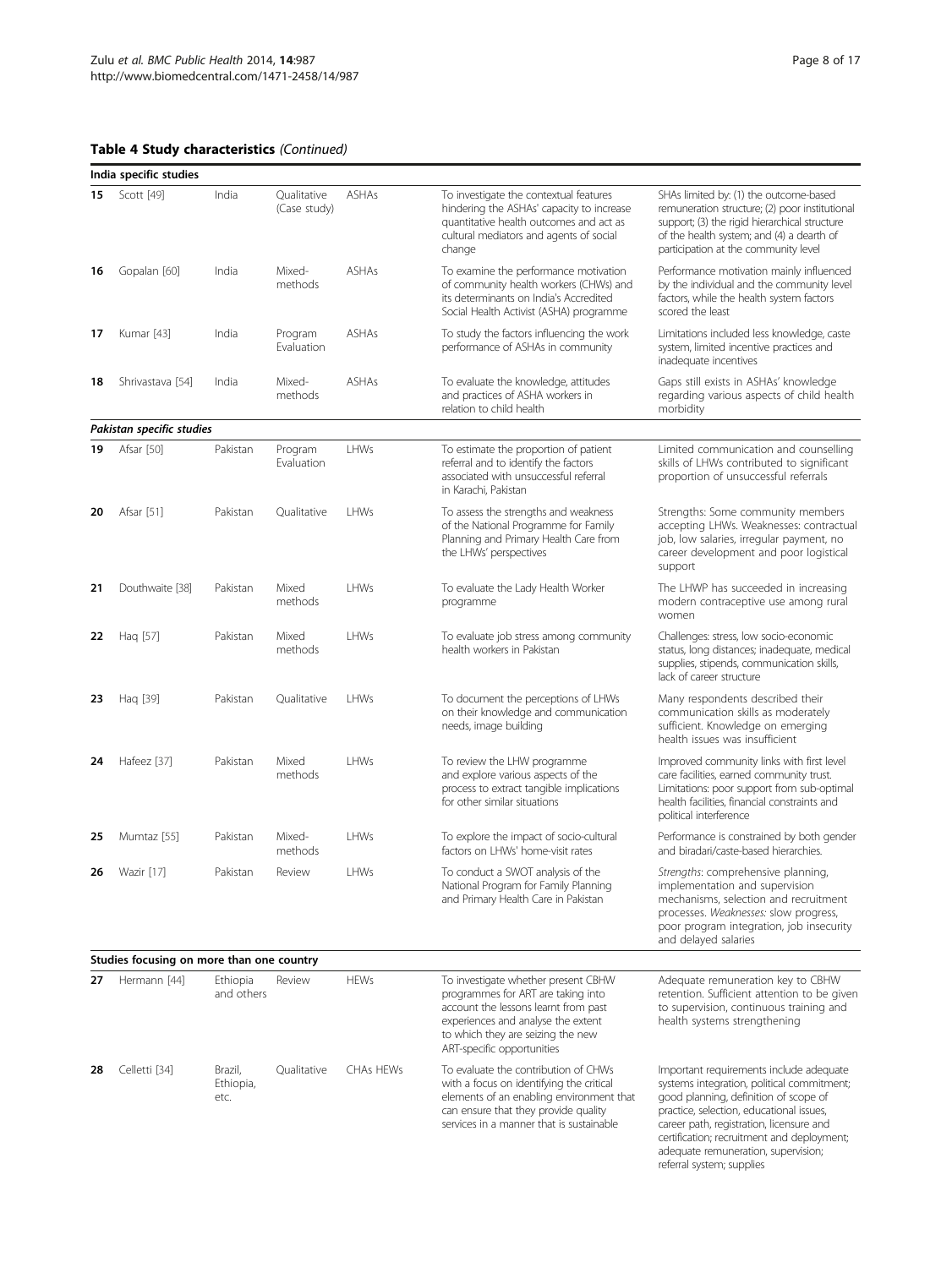## Table 4 Study characteristics (Continued)

|    | India specific studies                    |                              |                             |              |                                                                                                                                                                                                                            |                                                                                                                                                                                                                                                                                                                                          |
|----|-------------------------------------------|------------------------------|-----------------------------|--------------|----------------------------------------------------------------------------------------------------------------------------------------------------------------------------------------------------------------------------|------------------------------------------------------------------------------------------------------------------------------------------------------------------------------------------------------------------------------------------------------------------------------------------------------------------------------------------|
| 15 | Scott [49]                                | India                        | Qualitative<br>(Case study) | ASHAs        | To investigate the contextual features<br>hindering the ASHAs' capacity to increase<br>quantitative health outcomes and act as<br>cultural mediators and agents of social<br>change                                        | SHAs limited by: (1) the outcome-based<br>remuneration structure; (2) poor institutional<br>support; (3) the rigid hierarchical structure<br>of the health system; and (4) a dearth of<br>participation at the community level                                                                                                           |
| 16 | Gopalan [60]                              | India                        | Mixed-<br>methods           | <b>ASHAs</b> | To examine the performance motivation<br>of community health workers (CHWs) and<br>its determinants on India's Accredited<br>Social Health Activist (ASHA) programme                                                       | Performance motivation mainly influenced<br>by the individual and the community level<br>factors, while the health system factors<br>scored the least                                                                                                                                                                                    |
| 17 | Kumar [43]                                | India                        | Program<br>Evaluation       | ASHAs        | To study the factors influencing the work<br>performance of ASHAs in community                                                                                                                                             | Limitations included less knowledge, caste<br>system, limited incentive practices and<br>inadequate incentives                                                                                                                                                                                                                           |
| 18 | Shrivastava [54]                          | India                        | Mixed-<br>methods           | <b>ASHAs</b> | To evaluate the knowledge, attitudes<br>and practices of ASHA workers in<br>relation to child health                                                                                                                       | Gaps still exists in ASHAs' knowledge<br>regarding various aspects of child health<br>morbidity                                                                                                                                                                                                                                          |
|    | Pakistan specific studies                 |                              |                             |              |                                                                                                                                                                                                                            |                                                                                                                                                                                                                                                                                                                                          |
| 19 | Afsar [50]                                | Pakistan                     | Program<br>Evaluation       | LHWs         | To estimate the proportion of patient<br>referral and to identify the factors<br>associated with unsuccessful referral<br>in Karachi, Pakistan                                                                             | Limited communication and counselling<br>skills of LHWs contributed to significant<br>proportion of unsuccessful referrals                                                                                                                                                                                                               |
| 20 | Afsar [51]                                | Pakistan                     | Qualitative                 | LHWs         | To assess the strengths and weakness<br>of the National Programme for Family<br>Planning and Primary Health Care from<br>the LHWs' perspectives                                                                            | Strengths: Some community members<br>accepting LHWs. Weaknesses: contractual<br>job, low salaries, irregular payment, no<br>career development and poor logistical<br>support                                                                                                                                                            |
| 21 | Douthwaite [38]                           | Pakistan                     | Mixed<br>methods            | LHWs         | To evaluate the Lady Health Worker<br>programme                                                                                                                                                                            | The LHWP has succeeded in increasing<br>modern contraceptive use among rural<br>women                                                                                                                                                                                                                                                    |
| 22 | Haq [57]                                  | Pakistan                     | Mixed<br>methods            | LHWs         | To evaluate job stress among community<br>health workers in Pakistan                                                                                                                                                       | Challenges: stress, low socio-economic<br>status, long distances; inadequate, medical<br>supplies, stipends, communication skills,<br>lack of career structure                                                                                                                                                                           |
| 23 | Hag [39]                                  | Pakistan                     | Qualitative                 | LHWs         | To document the perceptions of LHWs<br>on their knowledge and communication<br>needs, image building                                                                                                                       | Many respondents described their<br>communication skills as moderately<br>sufficient. Knowledge on emerging<br>health issues was insufficient                                                                                                                                                                                            |
| 24 | Hafeez [37]                               | Pakistan                     | Mixed<br>methods            | LHWs         | To review the LHW programme<br>and explore various aspects of the<br>process to extract tangible implications<br>for other similar situations                                                                              | Improved community links with first level<br>care facilities, earned community trust.<br>Limitations: poor support from sub-optimal<br>health facilities, financial constraints and<br>political interference                                                                                                                            |
| 25 | Mumtaz [55]                               | Pakistan                     | Mixed-<br>methods           | LHWs         | To explore the impact of socio-cultural<br>factors on LHWs' home-visit rates                                                                                                                                               | Performance is constrained by both gender<br>and biradari/caste-based hierarchies.                                                                                                                                                                                                                                                       |
| 26 | Wazir [17]                                | Pakistan                     | Review                      | LHWs         | To conduct a SWOT analysis of the<br>National Program for Family Planning<br>and Primary Health Care in Pakistan                                                                                                           | Strengths: comprehensive planning,<br>implementation and supervision<br>mechanisms, selection and recruitment<br>processes. Weaknesses: slow progress,<br>poor program integration, job insecurity<br>and delayed salaries                                                                                                               |
|    | Studies focusing on more than one country |                              |                             |              |                                                                                                                                                                                                                            |                                                                                                                                                                                                                                                                                                                                          |
| 27 | Hermann [44]                              | Ethiopia<br>and others       | Review                      | <b>HEWs</b>  | To investigate whether present CBHW<br>programmes for ART are taking into<br>account the lessons learnt from past<br>experiences and analyse the extent<br>to which they are seizing the new<br>ART-specific opportunities | Adequate remuneration key to CBHW<br>retention. Sufficient attention to be given<br>to supervision, continuous training and<br>health systems strengthening                                                                                                                                                                              |
| 28 | Celletti [34]                             | Brazil,<br>Ethiopia,<br>etc. | Qualitative                 | CHAs HEWs    | To evaluate the contribution of CHWs<br>with a focus on identifying the critical<br>elements of an enabling environment that<br>can ensure that they provide quality<br>services in a manner that is sustainable           | Important requirements include adequate<br>systems integration, political commitment;<br>good planning, definition of scope of<br>practice, selection, educational issues,<br>career path, registration, licensure and<br>certification; recruitment and deployment;<br>adequate remuneration, supervision;<br>referral system; supplies |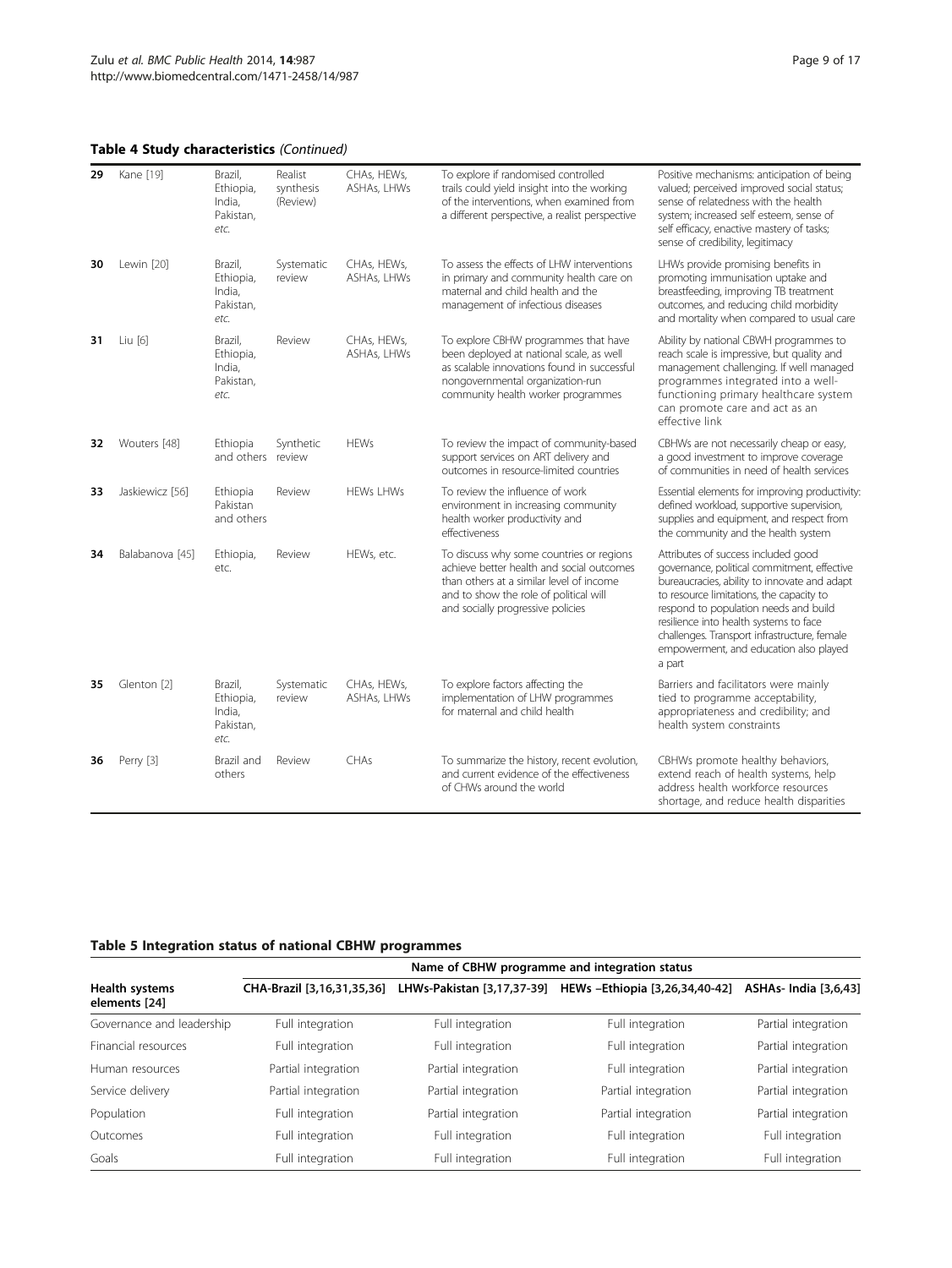## <span id="page-8-0"></span>Table 4 Study characteristics (Continued)

| 29 | Kane [19]       | Brazil,<br>Ethiopia,<br>India,<br>Pakistan.<br>etc. | Realist<br>synthesis<br>(Review) | CHAs, HEWs,<br>ASHAs, LHWs | To explore if randomised controlled<br>trails could yield insight into the working<br>of the interventions, when examined from<br>a different perspective, a realist perspective                                 | Positive mechanisms: anticipation of being<br>valued; perceived improved social status;<br>sense of relatedness with the health<br>system: increased self esteem, sense of<br>self efficacy, enactive mastery of tasks;<br>sense of credibility, legitimacy                                                                                                           |
|----|-----------------|-----------------------------------------------------|----------------------------------|----------------------------|------------------------------------------------------------------------------------------------------------------------------------------------------------------------------------------------------------------|-----------------------------------------------------------------------------------------------------------------------------------------------------------------------------------------------------------------------------------------------------------------------------------------------------------------------------------------------------------------------|
| 30 | Lewin [20]      | Brazil,<br>Ethiopia,<br>India,<br>Pakistan,<br>etc. | Systematic<br>review             | CHAs, HEWs,<br>ASHAs, LHWs | To assess the effects of LHW interventions<br>in primary and community health care on<br>maternal and child health and the<br>management of infectious diseases                                                  | LHWs provide promising benefits in<br>promoting immunisation uptake and<br>breastfeeding, improving TB treatment<br>outcomes, and reducing child morbidity<br>and mortality when compared to usual care                                                                                                                                                               |
| 31 | Liu [6]         | Brazil.<br>Ethiopia,<br>India,<br>Pakistan,<br>etc. | Review                           | CHAs, HEWs,<br>ASHAs, LHWs | To explore CBHW programmes that have<br>been deployed at national scale, as well<br>as scalable innovations found in successful<br>nongovernmental organization-run<br>community health worker programmes        | Ability by national CBWH programmes to<br>reach scale is impressive, but quality and<br>management challenging. If well managed<br>programmes integrated into a well-<br>functioning primary healthcare system<br>can promote care and act as an<br>effective link                                                                                                    |
| 32 | Wouters [48]    | Ethiopia<br>and others review                       | Synthetic                        | <b>HEWs</b>                | To review the impact of community-based<br>support services on ART delivery and<br>outcomes in resource-limited countries                                                                                        | CBHWs are not necessarily cheap or easy,<br>a good investment to improve coverage<br>of communities in need of health services                                                                                                                                                                                                                                        |
| 33 | Jaskiewicz [56] | Ethiopia<br>Pakistan<br>and others                  | Review                           | <b>HEWs LHWs</b>           | To review the influence of work<br>environment in increasing community<br>health worker productivity and<br>effectiveness                                                                                        | Essential elements for improving productivity:<br>defined workload, supportive supervision,<br>supplies and equipment, and respect from<br>the community and the health system                                                                                                                                                                                        |
| 34 | Balabanova [45] | Ethiopia,<br>etc.                                   | Review                           | HEWs, etc.                 | To discuss why some countries or regions<br>achieve better health and social outcomes<br>than others at a similar level of income<br>and to show the role of political will<br>and socially progressive policies | Attributes of success included good<br>governance, political commitment, effective<br>bureaucracies, ability to innovate and adapt<br>to resource limitations, the capacity to<br>respond to population needs and build<br>resilience into health systems to face<br>challenges. Transport infrastructure, female<br>empowerment, and education also played<br>a part |
| 35 | Glenton [2]     | Brazil,<br>Ethiopia,<br>India,<br>Pakistan,<br>etc. | Systematic<br>review             | CHAs, HEWs,<br>ASHAs, LHWs | To explore factors affecting the<br>implementation of LHW programmes<br>for maternal and child health                                                                                                            | Barriers and facilitators were mainly<br>tied to programme acceptability,<br>appropriateness and credibility; and<br>health system constraints                                                                                                                                                                                                                        |
| 36 | Perry [3]       | Brazil and<br>others                                | Review                           | <b>CHAs</b>                | To summarize the history, recent evolution,<br>and current evidence of the effectiveness<br>of CHWs around the world                                                                                             | CBHWs promote healthy behaviors,<br>extend reach of health systems, help<br>address health workforce resources<br>shortage, and reduce health disparities                                                                                                                                                                                                             |

## Table 5 Integration status of national CBHW programmes

|                                 | Name of CBHW programme and integration status |                            |                                |                       |  |  |  |  |
|---------------------------------|-----------------------------------------------|----------------------------|--------------------------------|-----------------------|--|--|--|--|
| Health systems<br>elements [24] | CHA-Brazil [3,16,31,35,36]                    | LHWs-Pakistan [3,17,37-39] | HEWs -Ethiopia [3,26,34,40-42] | ASHAs- India [3,6,43] |  |  |  |  |
| Governance and leadership       | Full integration                              | Full integration           | Full integration               | Partial integration   |  |  |  |  |
| Financial resources             | Full integration                              | Full integration           | Full integration               | Partial integration   |  |  |  |  |
| Human resources                 | Partial integration                           | Partial integration        | Full integration               | Partial integration   |  |  |  |  |
| Service delivery                | Partial integration                           | Partial integration        | Partial integration            | Partial integration   |  |  |  |  |
| Population                      | Full integration                              | Partial integration        | Partial integration            | Partial integration   |  |  |  |  |
| Outcomes                        | Full integration                              | Full integration           | Full integration               | Full integration      |  |  |  |  |
| Goals                           | Full integration                              | Full integration           | Full integration               | Full integration      |  |  |  |  |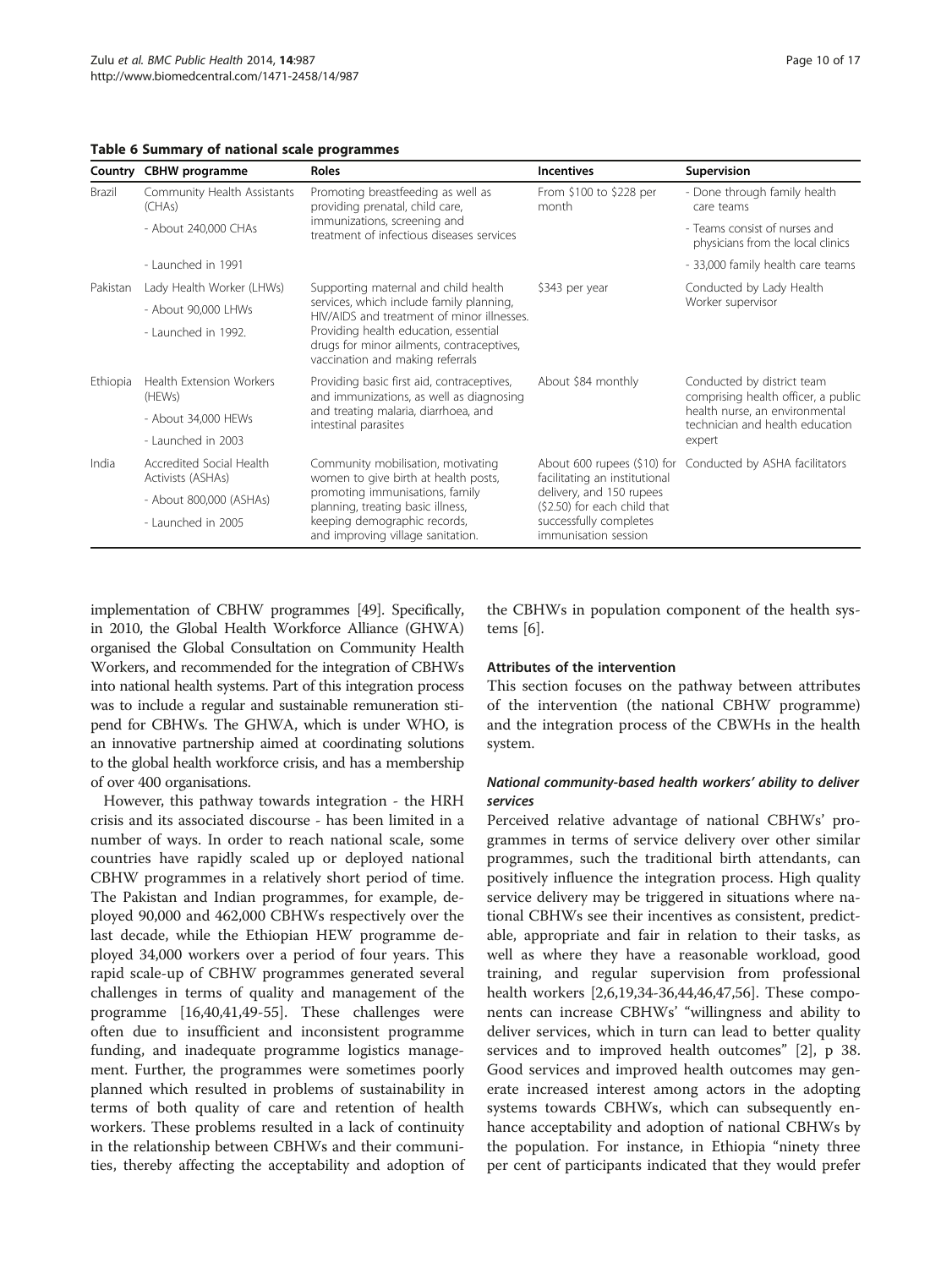<span id="page-9-0"></span>Table 6 Summary of national scale programmes

|          | Country CBHW programme                        | <b>Roles</b>                                                                                                           | <b>Incentives</b>                                        | Supervision                                                                                                                                      |  |
|----------|-----------------------------------------------|------------------------------------------------------------------------------------------------------------------------|----------------------------------------------------------|--------------------------------------------------------------------------------------------------------------------------------------------------|--|
| Brazil   | Community Health Assistants<br>(CHAs)         | Promoting breastfeeding as well as<br>providing prenatal, child care,                                                  | From \$100 to \$228 per<br>month                         | - Done through family health<br>care teams                                                                                                       |  |
|          | - About 240,000 CHAs                          | immunizations, screening and<br>treatment of infectious diseases services                                              |                                                          | - Teams consist of nurses and<br>physicians from the local clinics                                                                               |  |
|          | - Launched in 1991                            |                                                                                                                        |                                                          | - 33,000 family health care teams                                                                                                                |  |
| Pakistan | Lady Health Worker (LHWs)                     | Supporting maternal and child health                                                                                   | \$343 per year                                           | Conducted by Lady Health<br>Worker supervisor                                                                                                    |  |
|          | - About 90,000 LHWs                           | services, which include family planning,<br>HIV/AIDS and treatment of minor illnesses.                                 |                                                          |                                                                                                                                                  |  |
|          | - Launched in 1992.                           | Providing health education, essential<br>drugs for minor ailments, contraceptives,<br>vaccination and making referrals |                                                          |                                                                                                                                                  |  |
| Ethiopia | Health Extension Workers<br>(HEWs)            | Providing basic first aid, contraceptives,<br>and immunizations, as well as diagnosing                                 | About \$84 monthly                                       | Conducted by district team<br>comprising health officer, a public<br>health nurse, an environmental<br>technician and health education<br>expert |  |
|          | - About 34,000 HEWs                           | and treating malaria, diarrhoea, and<br>intestinal parasites                                                           |                                                          |                                                                                                                                                  |  |
|          | - Launched in 2003                            |                                                                                                                        |                                                          |                                                                                                                                                  |  |
| India    | Accredited Social Health<br>Activists (ASHAs) | Community mobilisation, motivating<br>women to give birth at health posts,                                             | facilitating an institutional                            | About 600 rupees (\$10) for Conducted by ASHA facilitators                                                                                       |  |
|          | - About 800,000 (ASHAs)                       | promoting immunisations, family<br>planning, treating basic illness,                                                   | delivery, and 150 rupees<br>(\$2.50) for each child that |                                                                                                                                                  |  |
|          | - Launched in 2005                            | keeping demographic records,<br>and improving village sanitation.                                                      | successfully completes<br>immunisation session           |                                                                                                                                                  |  |

implementation of CBHW programmes [\[49\]](#page-15-0). Specifically, in 2010, the Global Health Workforce Alliance (GHWA) organised the Global Consultation on Community Health Workers, and recommended for the integration of CBHWs into national health systems. Part of this integration process was to include a regular and sustainable remuneration stipend for CBHWs. The GHWA, which is under WHO, is an innovative partnership aimed at coordinating solutions to the global health workforce crisis, and has a membership of over 400 organisations.

However, this pathway towards integration - the HRH crisis and its associated discourse - has been limited in a number of ways. In order to reach national scale, some countries have rapidly scaled up or deployed national CBHW programmes in a relatively short period of time. The Pakistan and Indian programmes, for example, deployed 90,000 and 462,000 CBHWs respectively over the last decade, while the Ethiopian HEW programme deployed 34,000 workers over a period of four years. This rapid scale-up of CBHW programmes generated several challenges in terms of quality and management of the programme [[16](#page-15-0),[40](#page-15-0),[41](#page-15-0),[49](#page-15-0)-[55\]](#page-16-0). These challenges were often due to insufficient and inconsistent programme funding, and inadequate programme logistics management. Further, the programmes were sometimes poorly planned which resulted in problems of sustainability in terms of both quality of care and retention of health workers. These problems resulted in a lack of continuity in the relationship between CBHWs and their communities, thereby affecting the acceptability and adoption of

the CBHWs in population component of the health systems [\[6](#page-14-0)].

#### Attributes of the intervention

This section focuses on the pathway between attributes of the intervention (the national CBHW programme) and the integration process of the CBWHs in the health system.

## National community-based health workers' ability to deliver services

Perceived relative advantage of national CBHWs' programmes in terms of service delivery over other similar programmes, such the traditional birth attendants, can positively influence the integration process. High quality service delivery may be triggered in situations where national CBHWs see their incentives as consistent, predictable, appropriate and fair in relation to their tasks, as well as where they have a reasonable workload, good training, and regular supervision from professional health workers [[2,6,](#page-14-0)[19,34-36,44,46,47,](#page-15-0)[56\]](#page-16-0). These components can increase CBHWs' "willingness and ability to deliver services, which in turn can lead to better quality services and to improved health outcomes" [[2\]](#page-14-0), p 38. Good services and improved health outcomes may generate increased interest among actors in the adopting systems towards CBHWs, which can subsequently enhance acceptability and adoption of national CBHWs by the population. For instance, in Ethiopia "ninety three per cent of participants indicated that they would prefer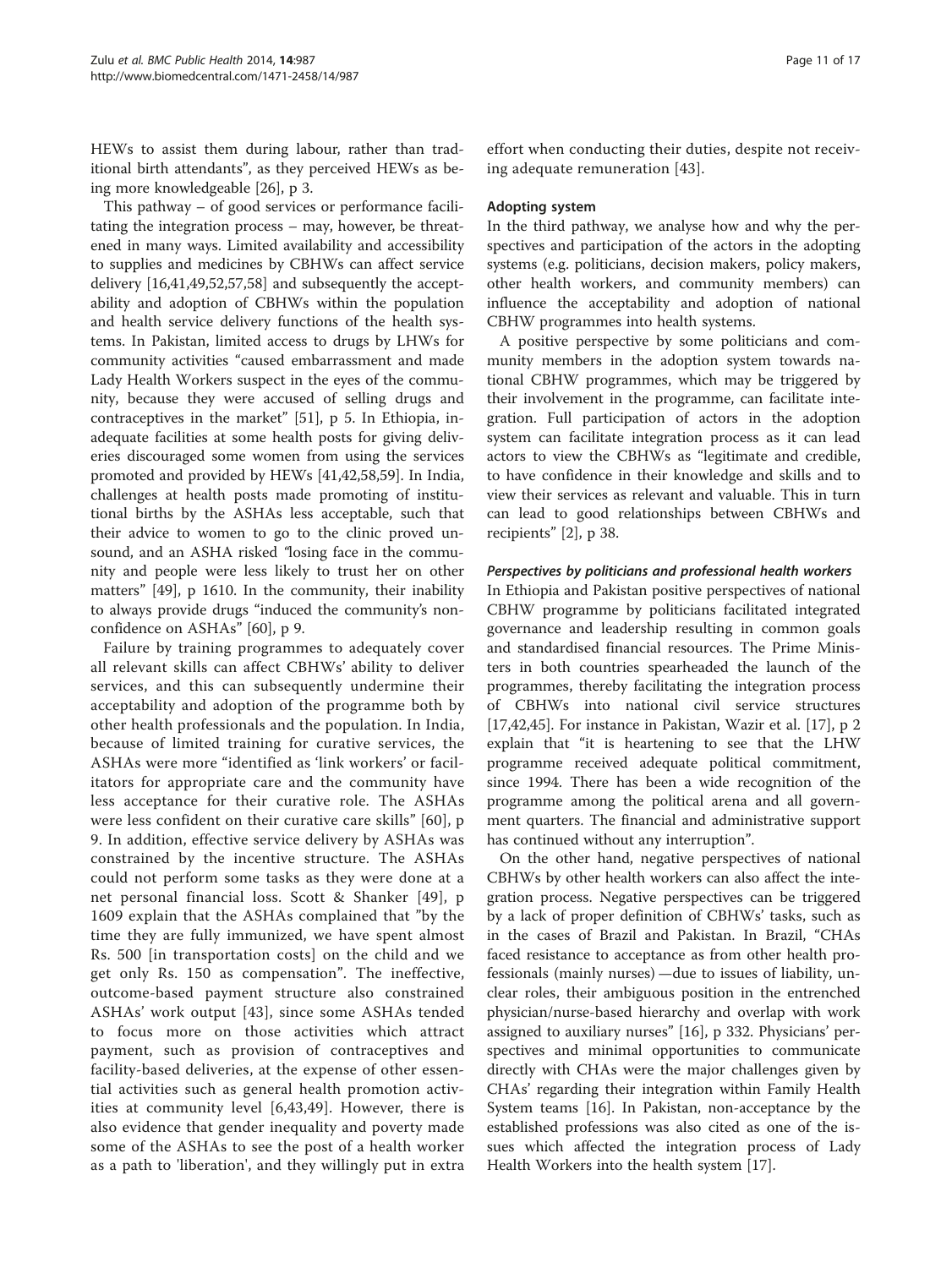HEWs to assist them during labour, rather than traditional birth attendants", as they perceived HEWs as being more knowledgeable [[26\]](#page-15-0), p 3.

This pathway – of good services or performance facilitating the integration process – may, however, be threatened in many ways. Limited availability and accessibility to supplies and medicines by CBHWs can affect service delivery [[16,41,49,](#page-15-0)[52](#page-16-0),[57](#page-16-0),[58](#page-16-0)] and subsequently the acceptability and adoption of CBHWs within the population and health service delivery functions of the health systems. In Pakistan, limited access to drugs by LHWs for community activities "caused embarrassment and made Lady Health Workers suspect in the eyes of the community, because they were accused of selling drugs and contraceptives in the market" [\[51\]](#page-15-0), p 5. In Ethiopia, inadequate facilities at some health posts for giving deliveries discouraged some women from using the services promoted and provided by HEWs [[41,42,](#page-15-0)[58,59](#page-16-0)]. In India, challenges at health posts made promoting of institutional births by the ASHAs less acceptable, such that their advice to women to go to the clinic proved unsound, and an ASHA risked "losing face in the community and people were less likely to trust her on other matters" [\[49\]](#page-15-0), p 1610. In the community, their inability to always provide drugs "induced the community's nonconfidence on ASHAs" [[60](#page-16-0)], p 9.

Failure by training programmes to adequately cover all relevant skills can affect CBHWs' ability to deliver services, and this can subsequently undermine their acceptability and adoption of the programme both by other health professionals and the population. In India, because of limited training for curative services, the ASHAs were more "identified as 'link workers' or facilitators for appropriate care and the community have less acceptance for their curative role. The ASHAs were less confident on their curative care skills" [[60\]](#page-16-0), p 9. In addition, effective service delivery by ASHAs was constrained by the incentive structure. The ASHAs could not perform some tasks as they were done at a net personal financial loss. Scott & Shanker [\[49](#page-15-0)], p 1609 explain that the ASHAs complained that "by the time they are fully immunized, we have spent almost Rs. 500 [in transportation costs] on the child and we get only Rs. 150 as compensation". The ineffective, outcome-based payment structure also constrained ASHAs' work output [[43](#page-15-0)], since some ASHAs tended to focus more on those activities which attract payment, such as provision of contraceptives and facility-based deliveries, at the expense of other essential activities such as general health promotion activities at community level [\[6,](#page-14-0)[43,49\]](#page-15-0). However, there is also evidence that gender inequality and poverty made some of the ASHAs to see the post of a health worker as a path to 'liberation', and they willingly put in extra

effort when conducting their duties, despite not receiving adequate remuneration [\[43\]](#page-15-0).

## Adopting system

In the third pathway, we analyse how and why the perspectives and participation of the actors in the adopting systems (e.g. politicians, decision makers, policy makers, other health workers, and community members) can influence the acceptability and adoption of national CBHW programmes into health systems.

A positive perspective by some politicians and community members in the adoption system towards national CBHW programmes, which may be triggered by their involvement in the programme, can facilitate integration. Full participation of actors in the adoption system can facilitate integration process as it can lead actors to view the CBHWs as "legitimate and credible, to have confidence in their knowledge and skills and to view their services as relevant and valuable. This in turn can lead to good relationships between CBHWs and recipients" [\[2](#page-14-0)], p 38.

### Perspectives by politicians and professional health workers

In Ethiopia and Pakistan positive perspectives of national CBHW programme by politicians facilitated integrated governance and leadership resulting in common goals and standardised financial resources. The Prime Ministers in both countries spearheaded the launch of the programmes, thereby facilitating the integration process of CBHWs into national civil service structures [[17,42,45\]](#page-15-0). For instance in Pakistan, Wazir et al. [\[17](#page-15-0)], p 2 explain that "it is heartening to see that the LHW programme received adequate political commitment, since 1994. There has been a wide recognition of the programme among the political arena and all government quarters. The financial and administrative support has continued without any interruption".

On the other hand, negative perspectives of national CBHWs by other health workers can also affect the integration process. Negative perspectives can be triggered by a lack of proper definition of CBHWs' tasks, such as in the cases of Brazil and Pakistan. In Brazil, "CHAs faced resistance to acceptance as from other health professionals (mainly nurses) —due to issues of liability, unclear roles, their ambiguous position in the entrenched physician/nurse-based hierarchy and overlap with work assigned to auxiliary nurses" [[16\]](#page-15-0), p 332. Physicians' perspectives and minimal opportunities to communicate directly with CHAs were the major challenges given by CHAs' regarding their integration within Family Health System teams [[16\]](#page-15-0). In Pakistan, non-acceptance by the established professions was also cited as one of the issues which affected the integration process of Lady Health Workers into the health system [\[17](#page-15-0)].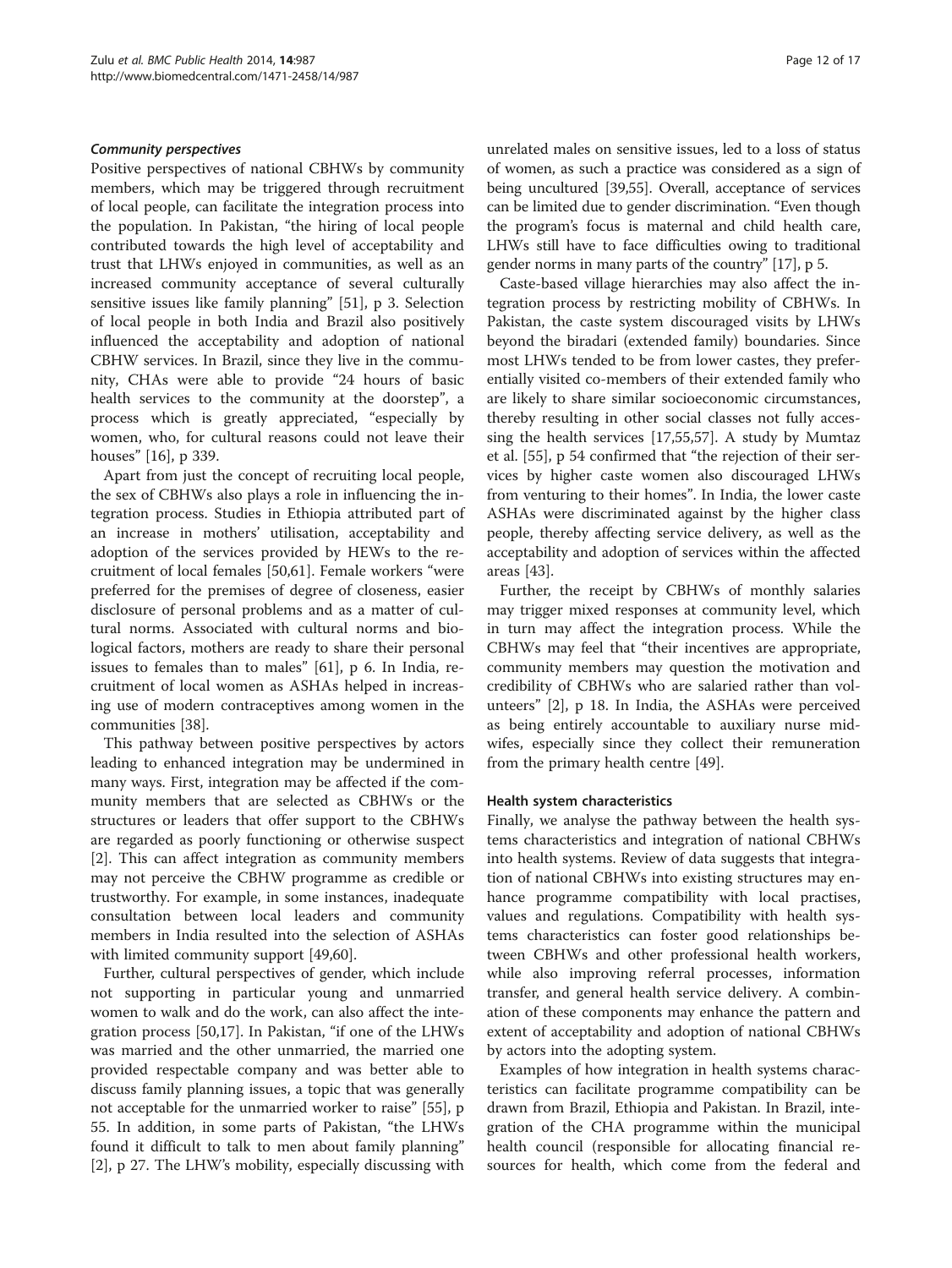## Community perspectives

Positive perspectives of national CBHWs by community members, which may be triggered through recruitment of local people, can facilitate the integration process into the population. In Pakistan, "the hiring of local people contributed towards the high level of acceptability and trust that LHWs enjoyed in communities, as well as an increased community acceptance of several culturally sensitive issues like family planning" [\[51\]](#page-15-0), p 3. Selection of local people in both India and Brazil also positively influenced the acceptability and adoption of national CBHW services. In Brazil, since they live in the community, CHAs were able to provide "24 hours of basic health services to the community at the doorstep", a process which is greatly appreciated, "especially by women, who, for cultural reasons could not leave their houses" [\[16\]](#page-15-0), p 339.

Apart from just the concept of recruiting local people, the sex of CBHWs also plays a role in influencing the integration process. Studies in Ethiopia attributed part of an increase in mothers' utilisation, acceptability and adoption of the services provided by HEWs to the recruitment of local females [[50,](#page-15-0)[61\]](#page-16-0). Female workers "were preferred for the premises of degree of closeness, easier disclosure of personal problems and as a matter of cultural norms. Associated with cultural norms and biological factors, mothers are ready to share their personal issues to females than to males" [[61](#page-16-0)], p 6. In India, recruitment of local women as ASHAs helped in increasing use of modern contraceptives among women in the communities [[38\]](#page-15-0).

This pathway between positive perspectives by actors leading to enhanced integration may be undermined in many ways. First, integration may be affected if the community members that are selected as CBHWs or the structures or leaders that offer support to the CBHWs are regarded as poorly functioning or otherwise suspect [[2\]](#page-14-0). This can affect integration as community members may not perceive the CBHW programme as credible or trustworthy. For example, in some instances, inadequate consultation between local leaders and community members in India resulted into the selection of ASHAs with limited community support [\[49](#page-15-0)[,60](#page-16-0)].

Further, cultural perspectives of gender, which include not supporting in particular young and unmarried women to walk and do the work, can also affect the integration process [\[50,17](#page-15-0)]. In Pakistan, "if one of the LHWs was married and the other unmarried, the married one provided respectable company and was better able to discuss family planning issues, a topic that was generally not acceptable for the unmarried worker to raise" [\[55\]](#page-16-0), p 55. In addition, in some parts of Pakistan, "the LHWs found it difficult to talk to men about family planning" [[2\]](#page-14-0), p 27. The LHW's mobility, especially discussing with

unrelated males on sensitive issues, led to a loss of status of women, as such a practice was considered as a sign of being uncultured [[39](#page-15-0)[,55\]](#page-16-0). Overall, acceptance of services can be limited due to gender discrimination. "Even though the program's focus is maternal and child health care, LHWs still have to face difficulties owing to traditional gender norms in many parts of the country" [\[17\]](#page-15-0), p 5.

Caste-based village hierarchies may also affect the integration process by restricting mobility of CBHWs. In Pakistan, the caste system discouraged visits by LHWs beyond the biradari (extended family) boundaries. Since most LHWs tended to be from lower castes, they preferentially visited co-members of their extended family who are likely to share similar socioeconomic circumstances, thereby resulting in other social classes not fully accessing the health services [\[17](#page-15-0)[,55,57](#page-16-0)]. A study by Mumtaz et al. [\[55](#page-16-0)], p 54 confirmed that "the rejection of their services by higher caste women also discouraged LHWs from venturing to their homes". In India, the lower caste ASHAs were discriminated against by the higher class people, thereby affecting service delivery, as well as the acceptability and adoption of services within the affected areas [[43](#page-15-0)].

Further, the receipt by CBHWs of monthly salaries may trigger mixed responses at community level, which in turn may affect the integration process. While the CBHWs may feel that "their incentives are appropriate, community members may question the motivation and credibility of CBHWs who are salaried rather than volunteers" [[2\]](#page-14-0), p 18. In India, the ASHAs were perceived as being entirely accountable to auxiliary nurse midwifes, especially since they collect their remuneration from the primary health centre [\[49\]](#page-15-0).

### Health system characteristics

Finally, we analyse the pathway between the health systems characteristics and integration of national CBHWs into health systems. Review of data suggests that integration of national CBHWs into existing structures may enhance programme compatibility with local practises, values and regulations. Compatibility with health systems characteristics can foster good relationships between CBHWs and other professional health workers, while also improving referral processes, information transfer, and general health service delivery. A combination of these components may enhance the pattern and extent of acceptability and adoption of national CBHWs by actors into the adopting system.

Examples of how integration in health systems characteristics can facilitate programme compatibility can be drawn from Brazil, Ethiopia and Pakistan. In Brazil, integration of the CHA programme within the municipal health council (responsible for allocating financial resources for health, which come from the federal and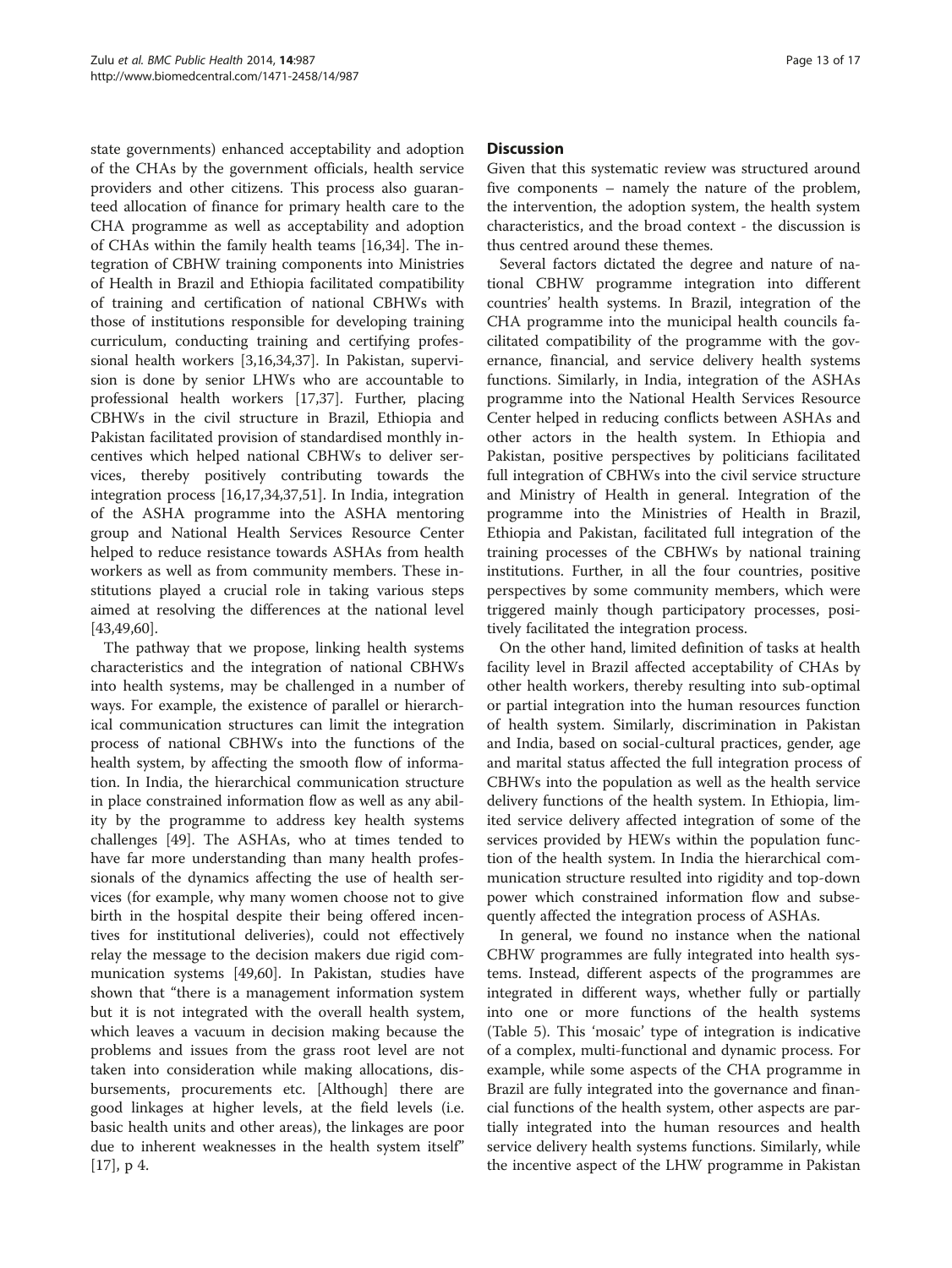state governments) enhanced acceptability and adoption of the CHAs by the government officials, health service providers and other citizens. This process also guaranteed allocation of finance for primary health care to the CHA programme as well as acceptability and adoption of CHAs within the family health teams [\[16,34\]](#page-15-0). The integration of CBHW training components into Ministries of Health in Brazil and Ethiopia facilitated compatibility of training and certification of national CBHWs with those of institutions responsible for developing training curriculum, conducting training and certifying professional health workers [[3,](#page-14-0)[16,34](#page-15-0),[37](#page-15-0)]. In Pakistan, supervision is done by senior LHWs who are accountable to professional health workers [[17,37\]](#page-15-0). Further, placing CBHWs in the civil structure in Brazil, Ethiopia and Pakistan facilitated provision of standardised monthly incentives which helped national CBHWs to deliver services, thereby positively contributing towards the integration process [\[16,17,34,37,51\]](#page-15-0). In India, integration of the ASHA programme into the ASHA mentoring group and National Health Services Resource Center helped to reduce resistance towards ASHAs from health workers as well as from community members. These institutions played a crucial role in taking various steps aimed at resolving the differences at the national level [[43,49,](#page-15-0)[60\]](#page-16-0).

The pathway that we propose, linking health systems characteristics and the integration of national CBHWs into health systems, may be challenged in a number of ways. For example, the existence of parallel or hierarchical communication structures can limit the integration process of national CBHWs into the functions of the health system, by affecting the smooth flow of information. In India, the hierarchical communication structure in place constrained information flow as well as any ability by the programme to address key health systems challenges [[49\]](#page-15-0). The ASHAs, who at times tended to have far more understanding than many health professionals of the dynamics affecting the use of health services (for example, why many women choose not to give birth in the hospital despite their being offered incentives for institutional deliveries), could not effectively relay the message to the decision makers due rigid communication systems [\[49](#page-15-0)[,60\]](#page-16-0). In Pakistan, studies have shown that "there is a management information system but it is not integrated with the overall health system, which leaves a vacuum in decision making because the problems and issues from the grass root level are not taken into consideration while making allocations, disbursements, procurements etc. [Although] there are good linkages at higher levels, at the field levels (i.e. basic health units and other areas), the linkages are poor due to inherent weaknesses in the health system itself" [[17\]](#page-15-0), p 4.

## **Discussion**

Given that this systematic review was structured around five components – namely the nature of the problem, the intervention, the adoption system, the health system characteristics, and the broad context - the discussion is thus centred around these themes.

Several factors dictated the degree and nature of national CBHW programme integration into different countries' health systems. In Brazil, integration of the CHA programme into the municipal health councils facilitated compatibility of the programme with the governance, financial, and service delivery health systems functions. Similarly, in India, integration of the ASHAs programme into the National Health Services Resource Center helped in reducing conflicts between ASHAs and other actors in the health system. In Ethiopia and Pakistan, positive perspectives by politicians facilitated full integration of CBHWs into the civil service structure and Ministry of Health in general. Integration of the programme into the Ministries of Health in Brazil, Ethiopia and Pakistan, facilitated full integration of the training processes of the CBHWs by national training institutions. Further, in all the four countries, positive perspectives by some community members, which were triggered mainly though participatory processes, positively facilitated the integration process.

On the other hand, limited definition of tasks at health facility level in Brazil affected acceptability of CHAs by other health workers, thereby resulting into sub-optimal or partial integration into the human resources function of health system. Similarly, discrimination in Pakistan and India, based on social-cultural practices, gender, age and marital status affected the full integration process of CBHWs into the population as well as the health service delivery functions of the health system. In Ethiopia, limited service delivery affected integration of some of the services provided by HEWs within the population function of the health system. In India the hierarchical communication structure resulted into rigidity and top-down power which constrained information flow and subsequently affected the integration process of ASHAs.

In general, we found no instance when the national CBHW programmes are fully integrated into health systems. Instead, different aspects of the programmes are integrated in different ways, whether fully or partially into one or more functions of the health systems (Table [5](#page-8-0)). This 'mosaic' type of integration is indicative of a complex, multi-functional and dynamic process. For example, while some aspects of the CHA programme in Brazil are fully integrated into the governance and financial functions of the health system, other aspects are partially integrated into the human resources and health service delivery health systems functions. Similarly, while the incentive aspect of the LHW programme in Pakistan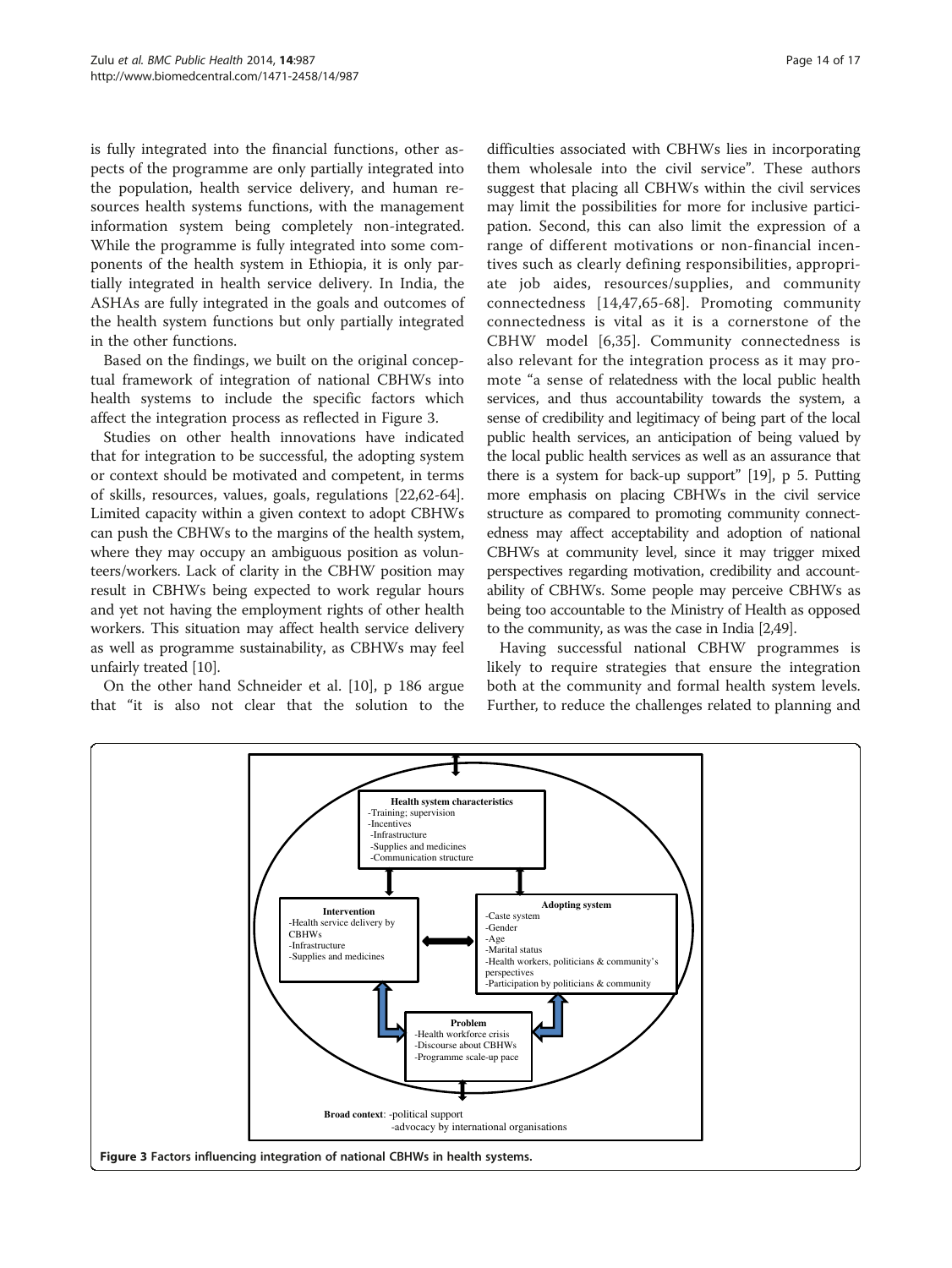is fully integrated into the financial functions, other aspects of the programme are only partially integrated into the population, health service delivery, and human resources health systems functions, with the management information system being completely non-integrated. While the programme is fully integrated into some components of the health system in Ethiopia, it is only partially integrated in health service delivery. In India, the ASHAs are fully integrated in the goals and outcomes of the health system functions but only partially integrated in the other functions.

Based on the findings, we built on the original conceptual framework of integration of national CBHWs into health systems to include the specific factors which affect the integration process as reflected in Figure 3.

Studies on other health innovations have indicated that for integration to be successful, the adopting system or context should be motivated and competent, in terms of skills, resources, values, goals, regulations [\[22,](#page-15-0)[62-64](#page-16-0)]. Limited capacity within a given context to adopt CBHWs can push the CBHWs to the margins of the health system, where they may occupy an ambiguous position as volunteers/workers. Lack of clarity in the CBHW position may result in CBHWs being expected to work regular hours and yet not having the employment rights of other health workers. This situation may affect health service delivery as well as programme sustainability, as CBHWs may feel unfairly treated [\[10\]](#page-15-0).

On the other hand Schneider et al. [[10\]](#page-15-0), p 186 argue that "it is also not clear that the solution to the

difficulties associated with CBHWs lies in incorporating them wholesale into the civil service". These authors suggest that placing all CBHWs within the civil services may limit the possibilities for more for inclusive participation. Second, this can also limit the expression of a range of different motivations or non-financial incentives such as clearly defining responsibilities, appropriate job aides, resources/supplies, and community connectedness [[14,47](#page-15-0),[65](#page-16-0)-[68\]](#page-16-0). Promoting community connectedness is vital as it is a cornerstone of the CBHW model [[6,](#page-14-0)[35](#page-15-0)]. Community connectedness is also relevant for the integration process as it may promote "a sense of relatedness with the local public health services, and thus accountability towards the system, a sense of credibility and legitimacy of being part of the local public health services, an anticipation of being valued by the local public health services as well as an assurance that there is a system for back-up support" [[19](#page-15-0)], p 5. Putting more emphasis on placing CBHWs in the civil service structure as compared to promoting community connectedness may affect acceptability and adoption of national CBHWs at community level, since it may trigger mixed perspectives regarding motivation, credibility and accountability of CBHWs. Some people may perceive CBHWs as being too accountable to the Ministry of Health as opposed to the community, as was the case in India [[2](#page-14-0)[,49\]](#page-15-0).

Having successful national CBHW programmes is likely to require strategies that ensure the integration both at the community and formal health system levels. Further, to reduce the challenges related to planning and

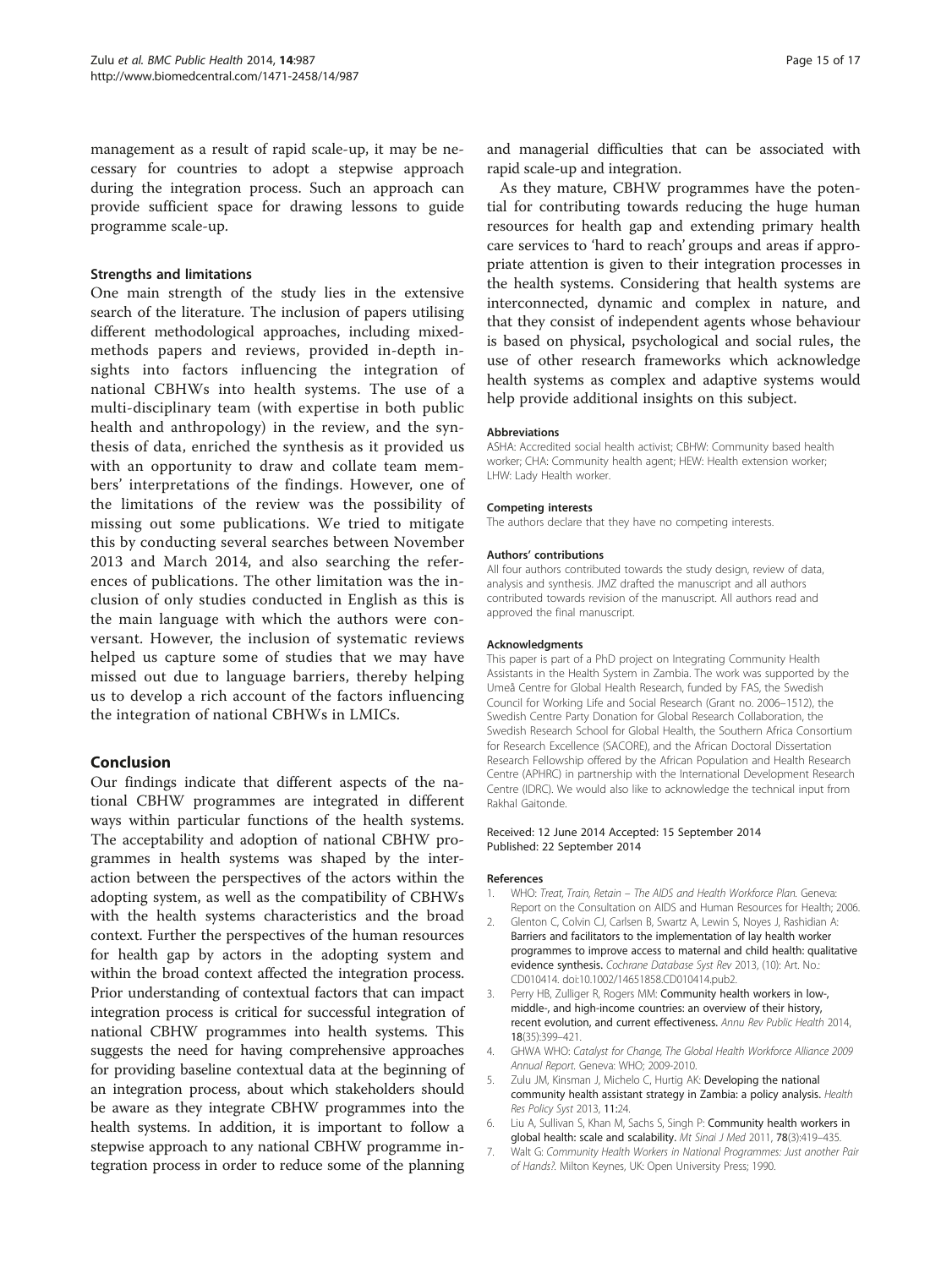<span id="page-14-0"></span>management as a result of rapid scale-up, it may be necessary for countries to adopt a stepwise approach during the integration process. Such an approach can provide sufficient space for drawing lessons to guide programme scale-up.

## Strengths and limitations

One main strength of the study lies in the extensive search of the literature. The inclusion of papers utilising different methodological approaches, including mixedmethods papers and reviews, provided in-depth insights into factors influencing the integration of national CBHWs into health systems. The use of a multi-disciplinary team (with expertise in both public health and anthropology) in the review, and the synthesis of data, enriched the synthesis as it provided us with an opportunity to draw and collate team members' interpretations of the findings. However, one of the limitations of the review was the possibility of missing out some publications. We tried to mitigate this by conducting several searches between November 2013 and March 2014, and also searching the references of publications. The other limitation was the inclusion of only studies conducted in English as this is the main language with which the authors were conversant. However, the inclusion of systematic reviews helped us capture some of studies that we may have missed out due to language barriers, thereby helping us to develop a rich account of the factors influencing the integration of national CBHWs in LMICs.

## Conclusion

Our findings indicate that different aspects of the national CBHW programmes are integrated in different ways within particular functions of the health systems. The acceptability and adoption of national CBHW programmes in health systems was shaped by the interaction between the perspectives of the actors within the adopting system, as well as the compatibility of CBHWs with the health systems characteristics and the broad context. Further the perspectives of the human resources for health gap by actors in the adopting system and within the broad context affected the integration process. Prior understanding of contextual factors that can impact integration process is critical for successful integration of national CBHW programmes into health systems. This suggests the need for having comprehensive approaches for providing baseline contextual data at the beginning of an integration process, about which stakeholders should be aware as they integrate CBHW programmes into the health systems. In addition, it is important to follow a stepwise approach to any national CBHW programme integration process in order to reduce some of the planning

and managerial difficulties that can be associated with rapid scale-up and integration.

As they mature, CBHW programmes have the potential for contributing towards reducing the huge human resources for health gap and extending primary health care services to 'hard to reach' groups and areas if appropriate attention is given to their integration processes in the health systems. Considering that health systems are interconnected, dynamic and complex in nature, and that they consist of independent agents whose behaviour is based on physical, psychological and social rules, the use of other research frameworks which acknowledge health systems as complex and adaptive systems would help provide additional insights on this subject.

#### Abbreviations

ASHA: Accredited social health activist; CBHW: Community based health worker; CHA: Community health agent; HEW: Health extension worker; LHW: Lady Health worker.

#### Competing interests

The authors declare that they have no competing interests.

#### Authors' contributions

All four authors contributed towards the study design, review of data, analysis and synthesis. JMZ drafted the manuscript and all authors contributed towards revision of the manuscript. All authors read and approved the final manuscript.

#### Acknowledgments

This paper is part of a PhD project on Integrating Community Health Assistants in the Health System in Zambia. The work was supported by the Umeå Centre for Global Health Research, funded by FAS, the Swedish Council for Working Life and Social Research (Grant no. 2006–1512), the Swedish Centre Party Donation for Global Research Collaboration, the Swedish Research School for Global Health, the Southern Africa Consortium for Research Excellence (SACORE), and the African Doctoral Dissertation Research Fellowship offered by the African Population and Health Research Centre (APHRC) in partnership with the International Development Research Centre (IDRC). We would also like to acknowledge the technical input from Rakhal Gaitonde.

#### Received: 12 June 2014 Accepted: 15 September 2014 Published: 22 September 2014

#### References

- WHO: Treat, Train, Retain The AIDS and Health Workforce Plan. Geneva: Report on the Consultation on AIDS and Human Resources for Health; 2006.
- 2. Glenton C, Colvin CJ, Carlsen B, Swartz A, Lewin S, Noyes J, Rashidian A: Barriers and facilitators to the implementation of lay health worker programmes to improve access to maternal and child health: qualitative evidence synthesis. Cochrane Database Syst Rev 2013, (10): Art. No.: CD010414. doi:10.1002/14651858.CD010414.pub2.
- 3. Perry HB, Zulliger R, Rogers MM: Community health workers in low-, middle-, and high-income countries: an overview of their history, recent evolution, and current effectiveness. Annu Rev Public Health 2014, 18(35):399–421.
- 4. GHWA WHO: Catalyst for Change, The Global Health Workforce Alliance 2009 Annual Report. Geneva: WHO; 2009-2010.
- Zulu JM, Kinsman J, Michelo C, Hurtig AK: Developing the national community health assistant strategy in Zambia: a policy analysis. Health Res Policy Syst 2013, 11:24.
- 6. Liu A, Sullivan S, Khan M, Sachs S, Singh P: Community health workers in global health: scale and scalability. Mt Sinai J Med 2011, 78(3):419–435.
- 7. Walt G: Community Health Workers in National Programmes: Just another Pair of Hands?. Milton Keynes, UK: Open University Press; 1990.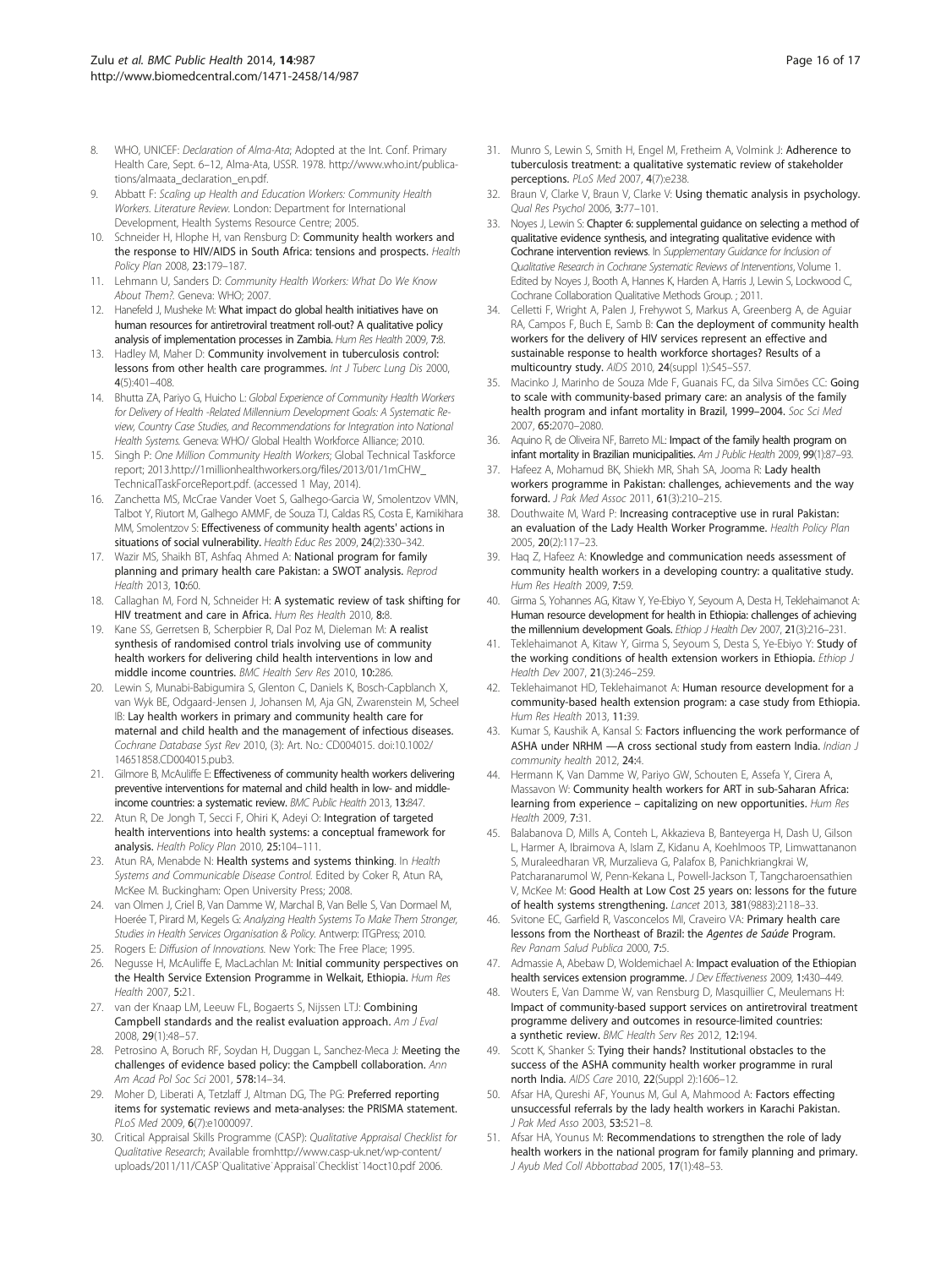- <span id="page-15-0"></span>8. WHO, UNICEF: Declaration of Alma-Ata; Adopted at the Int. Conf. Primary Health Care, Sept. 6–12, Alma-Ata, USSR. 1978. [http://www.who.int/publica](http://www.who.int/publications/almaata_declaration_en.pdf)[tions/almaata\\_declaration\\_en.pdf.](http://www.who.int/publications/almaata_declaration_en.pdf)
- Abbatt F: Scaling up Health and Education Workers: Community Health Workers. Literature Review. London: Department for International Development, Health Systems Resource Centre; 2005.
- 10. Schneider H, Hlophe H, van Rensburg D: Community health workers and the response to HIV/AIDS in South Africa: tensions and prospects. Health Policy Plan 2008, 23:179–187.
- 11. Lehmann U, Sanders D: Community Health Workers: What Do We Know About Them?. Geneva: WHO; 2007.
- 12. Hanefeld J, Musheke M: What impact do global health initiatives have on human resources for antiretroviral treatment roll-out? A qualitative policy analysis of implementation processes in Zambia. Hum Res Health 2009, 7:8.
- 13. Hadley M, Maher D: Community involvement in tuberculosis control: lessons from other health care programmes. Int J Tuberc Lung Dis 2000, 4(5):401–408.
- 14. Bhutta ZA, Pariyo G, Huicho L: Global Experience of Community Health Workers for Delivery of Health -Related Millennium Development Goals: A Systematic Review, Country Case Studies, and Recommendations for Integration into National Health Systems. Geneva: WHO/ Global Health Workforce Alliance; 2010.
- 15. Singh P: One Million Community Health Workers; Global Technical Taskforce report; 2013[.http://1millionhealthworkers.org/files/2013/01/1mCHW\\_](http://1millionhealthworkers.org/files/2013/01/1mCHW_TechnicalTaskForceReport.pdf) [TechnicalTaskForceReport.pdf.](http://1millionhealthworkers.org/files/2013/01/1mCHW_TechnicalTaskForceReport.pdf) (accessed 1 May, 2014).
- 16. Zanchetta MS, McCrae Vander Voet S, Galhego-Garcia W, Smolentzov VMN, Talbot Y, Riutort M, Galhego AMMF, de Souza TJ, Caldas RS, Costa E, Kamikihara MM, Smolentzov S: Effectiveness of community health agents' actions in situations of social vulnerability. Health Educ Res 2009, 24(2):330-342.
- 17. Wazir MS, Shaikh BT, Ashfaq Ahmed A: National program for family planning and primary health care Pakistan: a SWOT analysis. Reprod Health 2013, 10:60.
- 18. Callaghan M, Ford N, Schneider H: A systematic review of task shifting for HIV treatment and care in Africa. Hum Res Health 2010, 8:8.
- 19. Kane SS, Gerretsen B, Scherpbier R, Dal Poz M, Dieleman M: A realist synthesis of randomised control trials involving use of community health workers for delivering child health interventions in low and middle income countries. BMC Health Serv Res 2010, 10:286.
- 20. Lewin S, Munabi-Babigumira S, Glenton C, Daniels K, Bosch-Capblanch X, van Wyk BE, Odgaard-Jensen J, Johansen M, Aja GN, Zwarenstein M, Scheel IB: Lay health workers in primary and community health care for maternal and child health and the management of infectious diseases. Cochrane Database Syst Rev 2010, (3): Art. No.: CD004015. doi:10.1002/ 14651858.CD004015.pub3.
- 21. Gilmore B, McAuliffe E: Effectiveness of community health workers delivering preventive interventions for maternal and child health in low- and middleincome countries: a systematic review. BMC Public Health 2013, 13:847.
- 22. Atun R, De Jongh T, Secci F, Ohiri K, Adeyi O: Integration of targeted health interventions into health systems: a conceptual framework for analysis. Health Policy Plan 2010, 25:104–111.
- 23. Atun RA, Menabde N: Health systems and systems thinking. In Health Systems and Communicable Disease Control. Edited by Coker R, Atun RA, McKee M. Buckingham: Open University Press; 2008.
- 24. van Olmen J, Criel B, Van Damme W, Marchal B, Van Belle S, Van Dormael M, Hoerée T, Pirard M, Kegels G: Analyzing Health Systems To Make Them Stronger, Studies in Health Services Organisation & Policy. Antwerp: ITGPress; 2010.
- 25. Rogers E: Diffusion of Innovations. New York: The Free Place; 1995.
- 26. Negusse H, McAuliffe E, MacLachlan M: Initial community perspectives on the Health Service Extension Programme in Welkait, Ethiopia. Hum Res Health 2007, 5:21.
- 27. van der Knaap LM, Leeuw FL, Bogaerts S, Nijssen LTJ: Combining Campbell standards and the realist evaluation approach. Am J Eval 2008, 29(1):48–57.
- 28. Petrosino A, Boruch RF, Soydan H, Duggan L, Sanchez-Meca J: Meeting the challenges of evidence based policy: the Campbell collaboration. Ann Am Acad Pol Soc Sci 2001, 578:14–34.
- 29. Moher D, Liberati A, Tetzlaff J, Altman DG, The PG: Preferred reporting items for systematic reviews and meta-analyses: the PRISMA statement. PLoS Med 2009, 6(7):e1000097.
- 30. Critical Appraisal Skills Programme (CASP): Qualitative Appraisal Checklist for Qualitative Research; Available from[http://www.casp-uk.net/wp-content/](http://www.casp-uk.net/wp-content/uploads/2011/11/CASP%CB%99Qualitative%CB%99Appraisal%CB%99Checklist%CB%9914oct10.pdf 2006) [uploads/2011/11/CASP](http://www.casp-uk.net/wp-content/uploads/2011/11/CASP%CB%99Qualitative%CB%99Appraisal%CB%99Checklist%CB%9914oct10.pdf 2006)˙Qualitative˙Appraisal˙Checklist˙14oct10.pdf 2006.
- 31. Munro S, Lewin S, Smith H, Engel M, Fretheim A, Volmink J: Adherence to tuberculosis treatment: a qualitative systematic review of stakeholder perceptions. PLoS Med 2007, 4(7):e238.
- 32. Braun V, Clarke V, Braun V, Clarke V: Using thematic analysis in psychology. Qual Res Psychol 2006, 3:77–101.
- 33. Noyes J, Lewin S: Chapter 6: supplemental guidance on selecting a method of qualitative evidence synthesis, and integrating qualitative evidence with Cochrane intervention reviews. In Supplementary Guidance for Inclusion of Qualitative Research in Cochrane Systematic Reviews of Interventions, Volume 1. Edited by Noyes J, Booth A, Hannes K, Harden A, Harris J, Lewin S, Lockwood C, Cochrane Collaboration Qualitative Methods Group. ; 2011.
- 34. Celletti F, Wright A, Palen J, Frehywot S, Markus A, Greenberg A, de Aguiar RA, Campos F, Buch E, Samb B: Can the deployment of community health workers for the delivery of HIV services represent an effective and sustainable response to health workforce shortages? Results of a multicountry study. AIDS 2010, 24(suppl 1):S45–S57.
- 35. Macinko J, Marinho de Souza Mde F, Guanais FC, da Silva Simões CC: Going to scale with community-based primary care: an analysis of the family health program and infant mortality in Brazil, 1999–2004. Soc Sci Med 2007, 65:2070–2080.
- 36. Aquino R, de Oliveira NF, Barreto ML: Impact of the family health program on infant mortality in Brazilian municipalities. Am J Public Health 2009, 99(1):87–93.
- 37. Hafeez A, Mohamud BK, Shiekh MR, Shah SA, Jooma R: Lady health workers programme in Pakistan: challenges, achievements and the way forward. J Pak Med Assoc 2011, 61(3):210–215.
- 38. Douthwaite M, Ward P: Increasing contraceptive use in rural Pakistan: an evaluation of the Lady Health Worker Programme. Health Policy Plan 2005, 20(2):117–23.
- Haq Z, Hafeez A: Knowledge and communication needs assessment of community health workers in a developing country: a qualitative study. Hum Res Health 2009, 7:59.
- 40. Girma S, Yohannes AG, Kitaw Y, Ye-Ebiyo Y, Seyoum A, Desta H, Teklehaimanot A: Human resource development for health in Ethiopia: challenges of achieving the millennium development Goals. Ethiop J Health Dev 2007, 21(3):216-231.
- 41. Teklehaimanot A, Kitaw Y, Girma S, Seyoum S, Desta S, Ye-Ebiyo Y: Study of the working conditions of health extension workers in Ethiopia. Ethiop J Health Dev 2007, 21(3):246–259.
- 42. Teklehaimanot HD, Teklehaimanot A: Human resource development for a community-based health extension program: a case study from Ethiopia. Hum Res Health 2013, 11:39.
- 43. Kumar S, Kaushik A, Kansal S: Factors influencing the work performance of ASHA under NRHM - A cross sectional study from eastern India. Indian J community health 2012, 24:4.
- 44. Hermann K, Van Damme W, Pariyo GW, Schouten E, Assefa Y, Cirera A, Massavon W: Community health workers for ART in sub-Saharan Africa: learning from experience – capitalizing on new opportunities. Hum Res Health 2009, 7:31.
- 45. Balabanova D, Mills A, Conteh L, Akkazieva B, Banteyerga H, Dash U, Gilson L, Harmer A, Ibraimova A, Islam Z, Kidanu A, Koehlmoos TP, Limwattananon S, Muraleedharan VR, Murzalieva G, Palafox B, Panichkriangkrai W, Patcharanarumol W, Penn-Kekana L, Powell-Jackson T, Tangcharoensathien V, McKee M: Good Health at Low Cost 25 years on: lessons for the future of health systems strengthening. Lancet 2013, 381(9883):2118–33.
- 46. Svitone EC, Garfield R, Vasconcelos MI, Craveiro VA: Primary health care lessons from the Northeast of Brazil: the Agentes de Saúde Program. Rev Panam Salud Publica 2000, 7:5.
- 47. Admassie A, Abebaw D, Woldemichael A: Impact evaluation of the Ethiopian health services extension programme. J Dev Effectiveness 2009, 1:430-449.
- 48. Wouters E, Van Damme W, van Rensburg D, Masquillier C, Meulemans H: Impact of community-based support services on antiretroviral treatment programme delivery and outcomes in resource-limited countries: a synthetic review. BMC Health Serv Res 2012, 12:194.
- 49. Scott K, Shanker S: Tying their hands? Institutional obstacles to the success of the ASHA community health worker programme in rural north India. AIDS Care 2010, 22(Suppl 2):1606–12.
- Afsar HA, Qureshi AF, Younus M, Gul A, Mahmood A: Factors effecting unsuccessful referrals by the lady health workers in Karachi Pakistan. J Pak Med Asso 2003, 53:521–8.
- 51. Afsar HA, Younus M: Recommendations to strengthen the role of lady health workers in the national program for family planning and primary. J Ayub Med Coll Abbottabad 2005, 17(1):48–53.